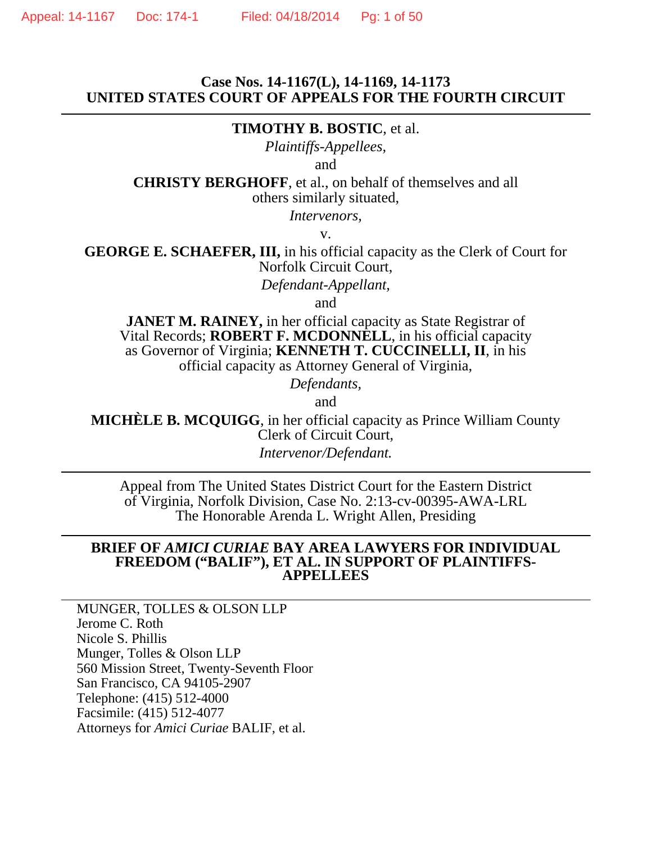### **Case Nos. 14-1167(L), 14-1169, 14-1173 UNITED STATES COURT OF APPEALS FOR THE FOURTH CIRCUIT**

#### **TIMOTHY B. BOSTIC**, et al.

*Plaintiffs-Appellees,*

and

**CHRISTY BERGHOFF**, et al., on behalf of themselves and all others similarly situated,

*Intervenors,*

v.

**GEORGE E. SCHAEFER, III,** in his official capacity as the Clerk of Court for Norfolk Circuit Court,

*Defendant-Appellant,* 

and

**JANET M. RAINEY, in her official capacity as State Registrar of** Vital Records; **ROBERT F. MCDONNELL**, in his official capacity as Governor of Virginia; **KENNETH T. CUCCINELLI, II**, in his official capacity as Attorney General of Virginia,

*Defendants,*

and

**MICHÈLE B. MCQUIGG**, in her official capacity as Prince William County Clerk of Circuit Court,

*Intervenor/Defendant.*

Appeal from The United States District Court for the Eastern District of Virginia, Norfolk Division, Case No. 2:13-cv-00395-AWA-LRL The Honorable Arenda L. Wright Allen, Presiding

#### **BRIEF OF** *AMICI CURIAE* **BAY AREA LAWYERS FOR INDIVIDUAL FREEDOM ("BALIF"), ET AL. IN SUPPORT OF PLAINTIFFS-APPELLEES**

MUNGER, TOLLES & OLSON LLP Jerome C. Roth Nicole S. Phillis Munger, Tolles & Olson LLP 560 Mission Street, Twenty-Seventh Floor San Francisco, CA 94105-2907 Telephone: (415) 512-4000 Facsimile: (415) 512-4077 Attorneys for *Amici Curiae* BALIF, et al.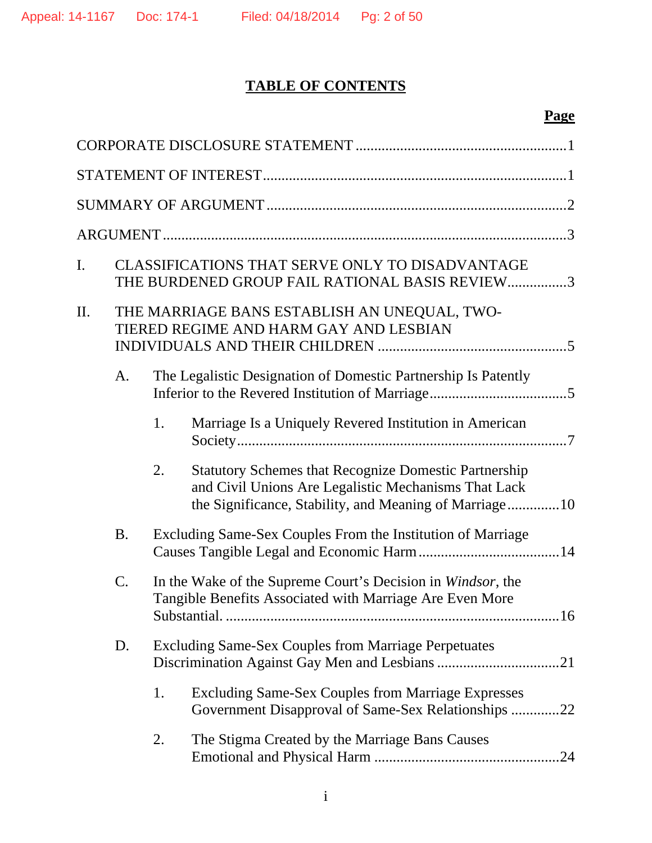# **TABLE OF CONTENTS**

# **Page**

| I. |                                                                                        | CLASSIFICATIONS THAT SERVE ONLY TO DISADVANTAGE<br>THE BURDENED GROUP FAIL RATIONAL BASIS REVIEW3 |                                                                                                                                                                                |  |  |  |
|----|----------------------------------------------------------------------------------------|---------------------------------------------------------------------------------------------------|--------------------------------------------------------------------------------------------------------------------------------------------------------------------------------|--|--|--|
| П. | THE MARRIAGE BANS ESTABLISH AN UNEQUAL, TWO-<br>TIERED REGIME AND HARM GAY AND LESBIAN |                                                                                                   |                                                                                                                                                                                |  |  |  |
|    | A.                                                                                     |                                                                                                   | The Legalistic Designation of Domestic Partnership Is Patently                                                                                                                 |  |  |  |
|    |                                                                                        | 1.                                                                                                | Marriage Is a Uniquely Revered Institution in American                                                                                                                         |  |  |  |
|    |                                                                                        | 2.                                                                                                | <b>Statutory Schemes that Recognize Domestic Partnership</b><br>and Civil Unions Are Legalistic Mechanisms That Lack<br>the Significance, Stability, and Meaning of Marriage10 |  |  |  |
|    | <b>B.</b>                                                                              |                                                                                                   | Excluding Same-Sex Couples From the Institution of Marriage                                                                                                                    |  |  |  |
|    | C.                                                                                     |                                                                                                   | In the Wake of the Supreme Court's Decision in Windsor, the<br>Tangible Benefits Associated with Marriage Are Even More                                                        |  |  |  |
|    | D.                                                                                     |                                                                                                   | <b>Excluding Same-Sex Couples from Marriage Perpetuates</b>                                                                                                                    |  |  |  |
|    |                                                                                        | 1.                                                                                                | <b>Excluding Same-Sex Couples from Marriage Expresses</b><br>Government Disapproval of Same-Sex Relationships 22                                                               |  |  |  |
|    |                                                                                        | 2.                                                                                                | The Stigma Created by the Marriage Bans Causes                                                                                                                                 |  |  |  |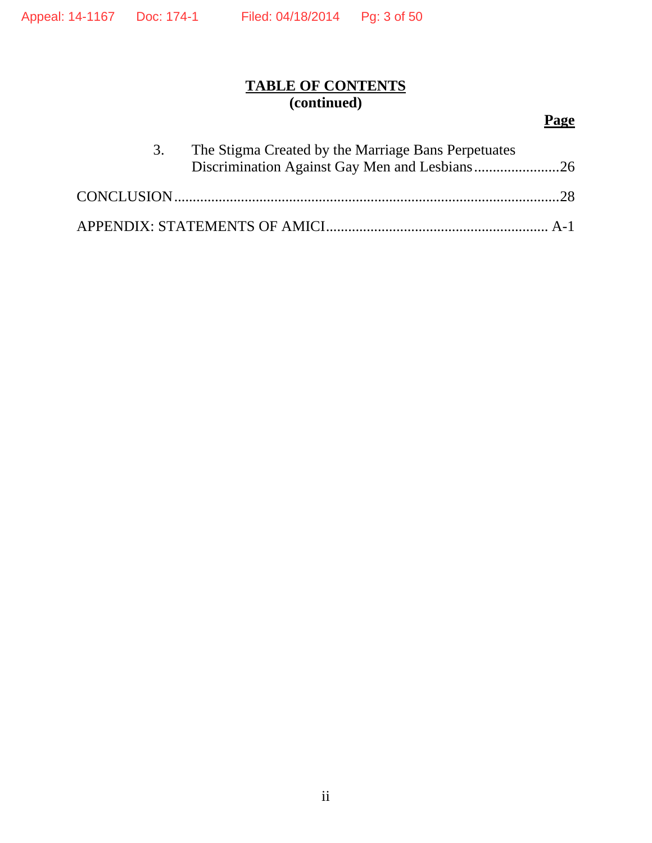# **TABLE OF CONTENTS (continued)**

# **Page**

| 3. | The Stigma Created by the Marriage Bans Perpetuates |  |
|----|-----------------------------------------------------|--|
|    |                                                     |  |
|    |                                                     |  |
|    |                                                     |  |
|    |                                                     |  |
|    |                                                     |  |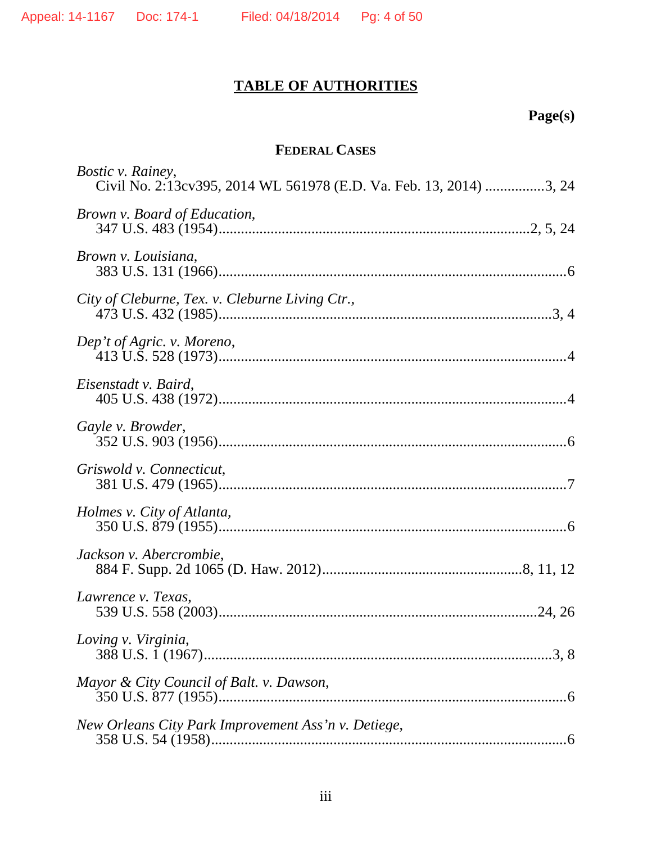# **TABLE OF AUTHORITIES**

# **Page(s)**

# **FEDERAL CASES**

| <i>Bostic v. Rainey,</i><br>Civil No. 2:13cv395, 2014 WL 561978 (E.D. Va. Feb. 13, 2014) 3, 24 |
|------------------------------------------------------------------------------------------------|
| Brown v. Board of Education,                                                                   |
| Brown v. Louisiana,                                                                            |
| City of Cleburne, Tex. v. Cleburne Living Ctr.,                                                |
| Dep't of Agric. v. Moreno,                                                                     |
| Eisenstadt v. Baird,                                                                           |
| Gayle v. Browder,                                                                              |
| Griswold v. Connecticut,                                                                       |
| Holmes v. City of Atlanta,                                                                     |
| Jackson v. Abercrombie,                                                                        |
| Lawrence v. Texas,                                                                             |
| Loving v. Virginia,                                                                            |
| Mayor & City Council of Balt. v. Dawson,                                                       |
| New Orleans City Park Improvement Ass'n v. Detiege,                                            |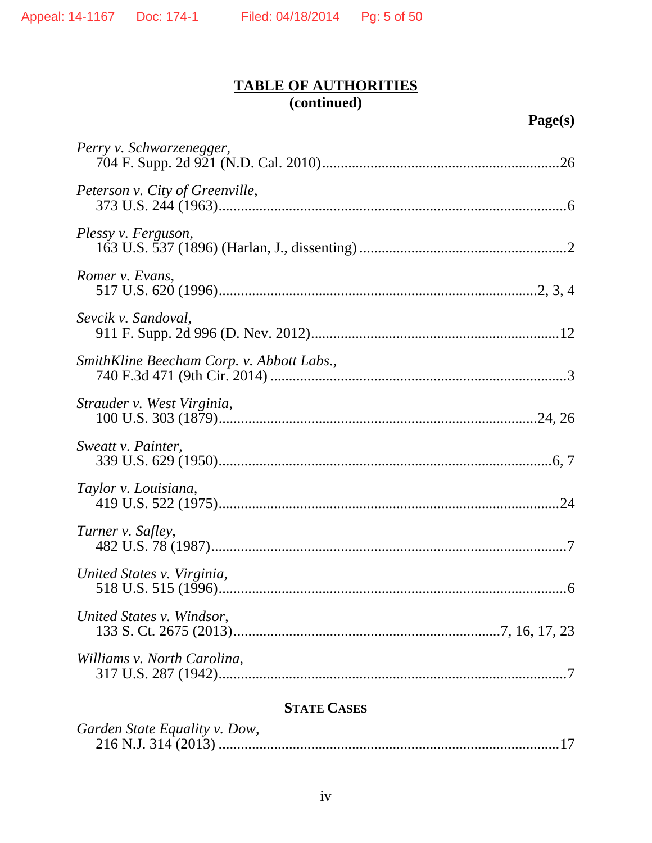# **STATE CASES**

| Garden State Equality v. Dow, |  |
|-------------------------------|--|
|                               |  |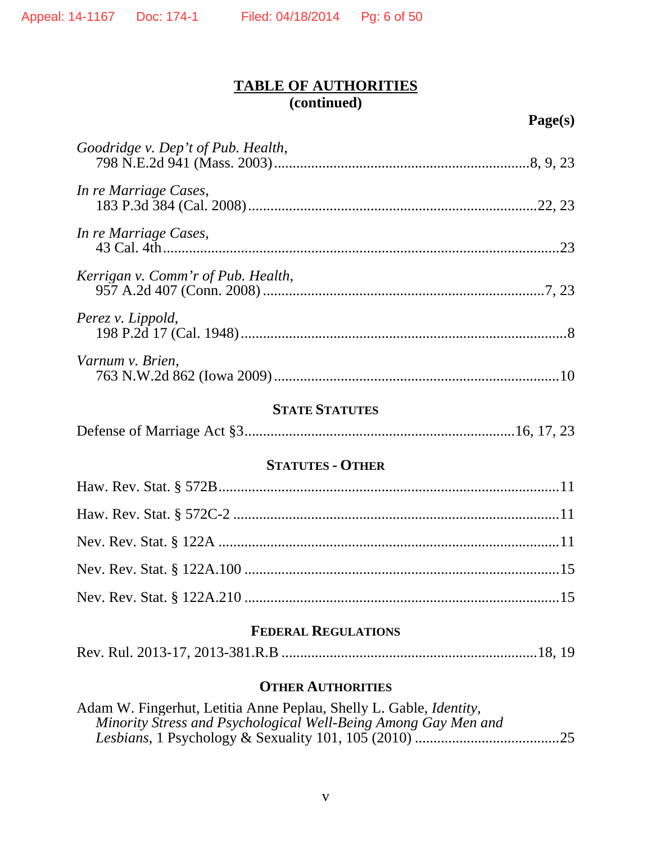**Page(s)** 

| Goodridge v. Dep't of Pub. Health, |  |  |
|------------------------------------|--|--|
| In re Marriage Cases,              |  |  |
| In re Marriage Cases,              |  |  |
| Kerrigan v. Comm'r of Pub. Health, |  |  |
| Perez v. Lippold,                  |  |  |
| Varnum v. Brien,                   |  |  |
| <b>STATE STATUTES</b>              |  |  |
|                                    |  |  |
| <b>STATUTES - OTHER</b>            |  |  |
|                                    |  |  |
|                                    |  |  |
|                                    |  |  |
|                                    |  |  |
|                                    |  |  |
| <b>FEDERAL REGULATIONS</b>         |  |  |
|                                    |  |  |

### **OTHER AUTHORITIES**

| Adam W. Fingerhut, Letitia Anne Peplau, Shelly L. Gable, <i>Identity</i> , |  |
|----------------------------------------------------------------------------|--|
| Minority Stress and Psychological Well-Being Among Gay Men and             |  |
|                                                                            |  |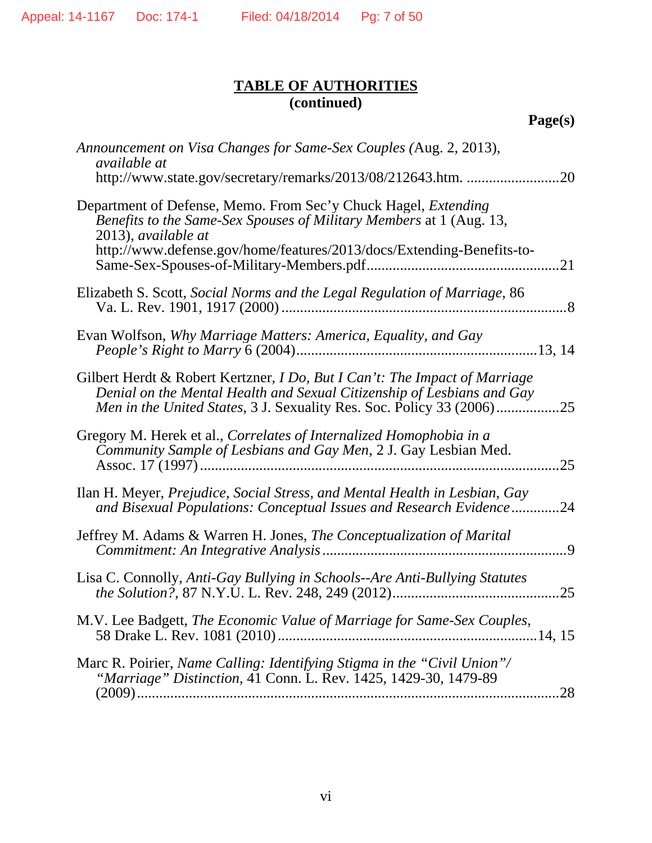| Announcement on Visa Changes for Same-Sex Couples (Aug. 2, 2013),<br><i>available at</i><br>http://www.state.gov/secretary/remarks/2013/08/212643.htm.<br>.20                                                                                |
|----------------------------------------------------------------------------------------------------------------------------------------------------------------------------------------------------------------------------------------------|
| Department of Defense, Memo. From Sec'y Chuck Hagel, <i>Extending</i><br>Benefits to the Same-Sex Spouses of Military Members at 1 (Aug. 13,<br>2013), available at<br>http://www.defense.gov/home/features/2013/docs/Extending-Benefits-to- |
| Elizabeth S. Scott, Social Norms and the Legal Regulation of Marriage, 86                                                                                                                                                                    |
|                                                                                                                                                                                                                                              |
| Evan Wolfson, Why Marriage Matters: America, Equality, and Gay                                                                                                                                                                               |
| Gilbert Herdt & Robert Kertzner, I Do, But I Can't: The Impact of Marriage<br>Denial on the Mental Health and Sexual Citizenship of Lesbians and Gay<br>Men in the United States, 3 J. Sexuality Res. Soc. Policy 33 (2006)<br>.25           |
| Gregory M. Herek et al., Correlates of Internalized Homophobia in a<br>Community Sample of Lesbians and Gay Men, 2 J. Gay Lesbian Med.<br>25                                                                                                 |
| Ilan H. Meyer, Prejudice, Social Stress, and Mental Health in Lesbian, Gay<br>and Bisexual Populations: Conceptual Issues and Research Evidence<br>.24                                                                                       |
| Jeffrey M. Adams & Warren H. Jones, <i>The Conceptualization of Marital</i><br>.9                                                                                                                                                            |
| Lisa C. Connolly, Anti-Gay Bullying in Schools--Are Anti-Bullying Statutes<br>25                                                                                                                                                             |
| M.V. Lee Badgett, The Economic Value of Marriage for Same-Sex Couples,                                                                                                                                                                       |
| Marc R. Poirier, Name Calling: Identifying Stigma in the "Civil Union"/<br>"Marriage" Distinction, 41 Conn. L. Rev. 1425, 1429-30, 1479-89                                                                                                   |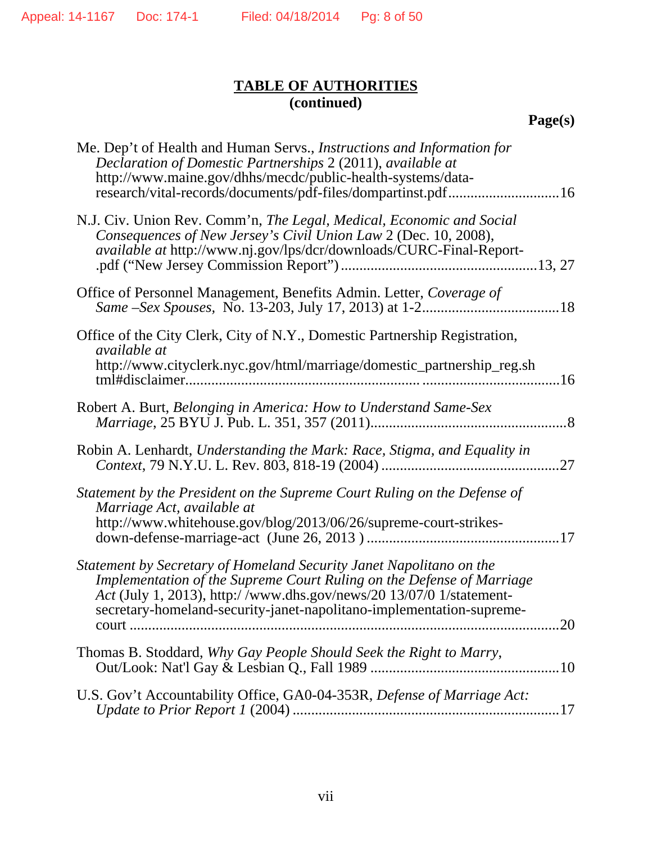**Page(s)** 

| Me. Dep't of Health and Human Servs., <i>Instructions and Information for</i><br>Declaration of Domestic Partnerships 2 (2011), available at<br>http://www.maine.gov/dhhs/mecdc/public-health-systems/data-<br>research/vital-records/documents/pdf-files/dompartinst.pdf16                        |
|----------------------------------------------------------------------------------------------------------------------------------------------------------------------------------------------------------------------------------------------------------------------------------------------------|
| N.J. Civ. Union Rev. Comm'n, The Legal, Medical, Economic and Social<br>Consequences of New Jersey's Civil Union Law 2 (Dec. 10, 2008),<br>available at http://www.nj.gov/lps/dcr/downloads/CURC-Final-Report-                                                                                     |
| Office of Personnel Management, Benefits Admin. Letter, Coverage of                                                                                                                                                                                                                                |
| Office of the City Clerk, City of N.Y., Domestic Partnership Registration,<br><i>available at</i><br>http://www.cityclerk.nyc.gov/html/marriage/domestic_partnership_reg.sh                                                                                                                        |
| Robert A. Burt, Belonging in America: How to Understand Same-Sex                                                                                                                                                                                                                                   |
| Robin A. Lenhardt, Understanding the Mark: Race, Stigma, and Equality in<br>.27                                                                                                                                                                                                                    |
| Statement by the President on the Supreme Court Ruling on the Defense of<br>Marriage Act, available at<br>http://www.whitehouse.gov/blog/2013/06/26/supreme-court-strikes-                                                                                                                         |
| Statement by Secretary of Homeland Security Janet Napolitano on the<br>Implementation of the Supreme Court Ruling on the Defense of Marriage<br>Act (July 1, 2013), http://www.dhs.gov/news/20 13/07/0 1/statement-<br>secretary-homeland-security-janet-napolitano-implementation-supreme-<br>.20 |
| Thomas B. Stoddard, Why Gay People Should Seek the Right to Marry,                                                                                                                                                                                                                                 |
| U.S. Gov't Accountability Office, GA0-04-353R, Defense of Marriage Act:                                                                                                                                                                                                                            |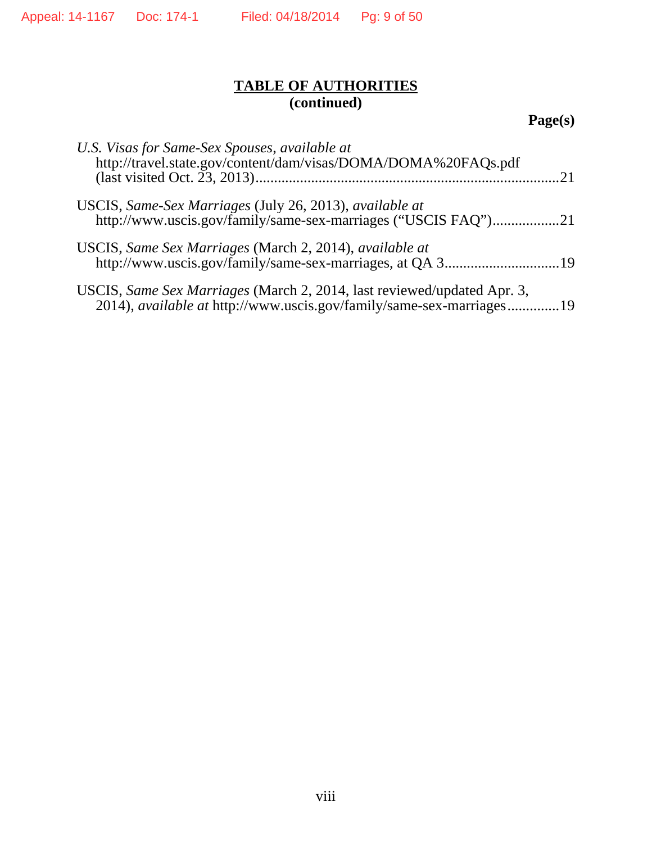**Page(s)** 

| U.S. Visas for Same-Sex Spouses, available at<br>http://travel.state.gov/content/dam/visas/DOMA/DOMA%20FAQs.pdf                                 |  |
|-------------------------------------------------------------------------------------------------------------------------------------------------|--|
| USCIS, Same-Sex Marriages (July 26, 2013), available at<br>http://www.uscis.gov/family/same-sex-marriages ("USCIS FAQ")21                       |  |
| USCIS, Same Sex Marriages (March 2, 2014), available at                                                                                         |  |
| USCIS, Same Sex Marriages (March 2, 2014, last reviewed/updated Apr. 3,<br>2014), available at http://www.uscis.gov/family/same-sex-marriages19 |  |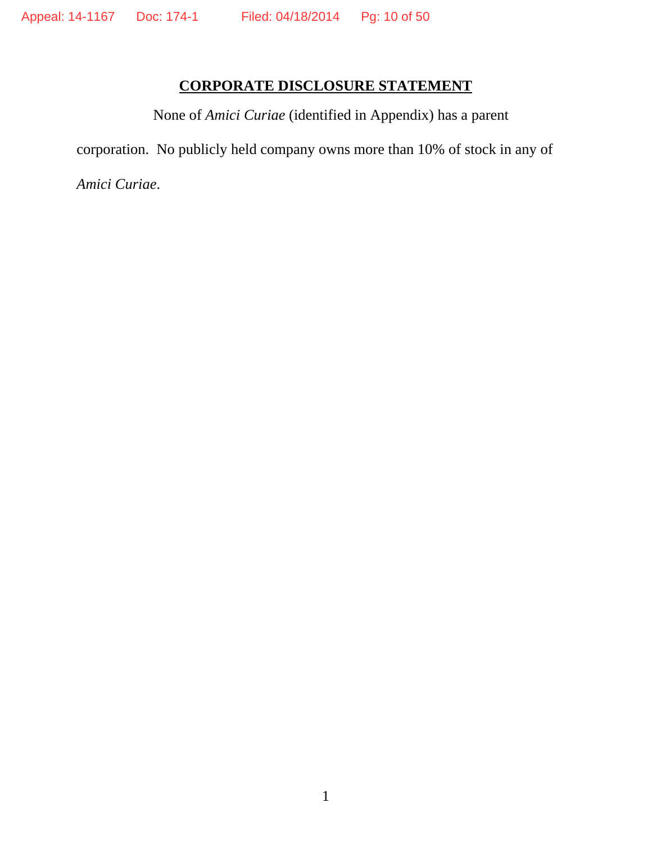# **CORPORATE DISCLOSURE STATEMENT**

None of *Amici Curiae* (identified in Appendix) has a parent corporation. No publicly held company owns more than 10% of stock in any of

*Amici Curiae*.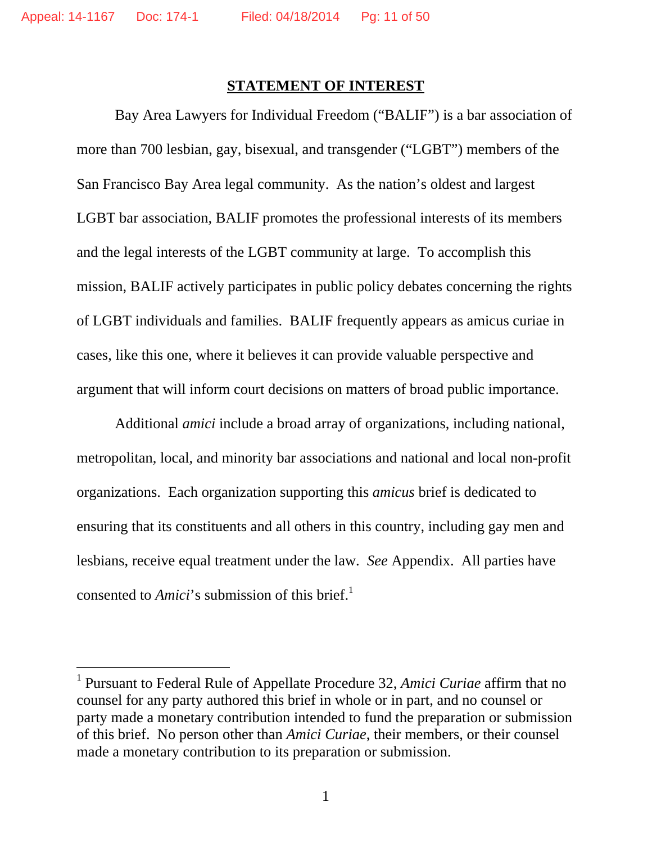$\overline{a}$ 

### **STATEMENT OF INTEREST**

Bay Area Lawyers for Individual Freedom ("BALIF") is a bar association of more than 700 lesbian, gay, bisexual, and transgender ("LGBT") members of the San Francisco Bay Area legal community. As the nation's oldest and largest LGBT bar association, BALIF promotes the professional interests of its members and the legal interests of the LGBT community at large. To accomplish this mission, BALIF actively participates in public policy debates concerning the rights of LGBT individuals and families. BALIF frequently appears as amicus curiae in cases, like this one, where it believes it can provide valuable perspective and argument that will inform court decisions on matters of broad public importance.

Additional *amici* include a broad array of organizations, including national, metropolitan, local, and minority bar associations and national and local non-profit organizations. Each organization supporting this *amicus* brief is dedicated to ensuring that its constituents and all others in this country, including gay men and lesbians, receive equal treatment under the law. *See* Appendix. All parties have consented to *Amici*'s submission of this brief.<sup>1</sup>

<sup>&</sup>lt;sup>1</sup> Pursuant to Federal Rule of Appellate Procedure 32, *Amici Curiae* affirm that no counsel for any party authored this brief in whole or in part, and no counsel or party made a monetary contribution intended to fund the preparation or submission of this brief. No person other than *Amici Curiae*, their members, or their counsel made a monetary contribution to its preparation or submission.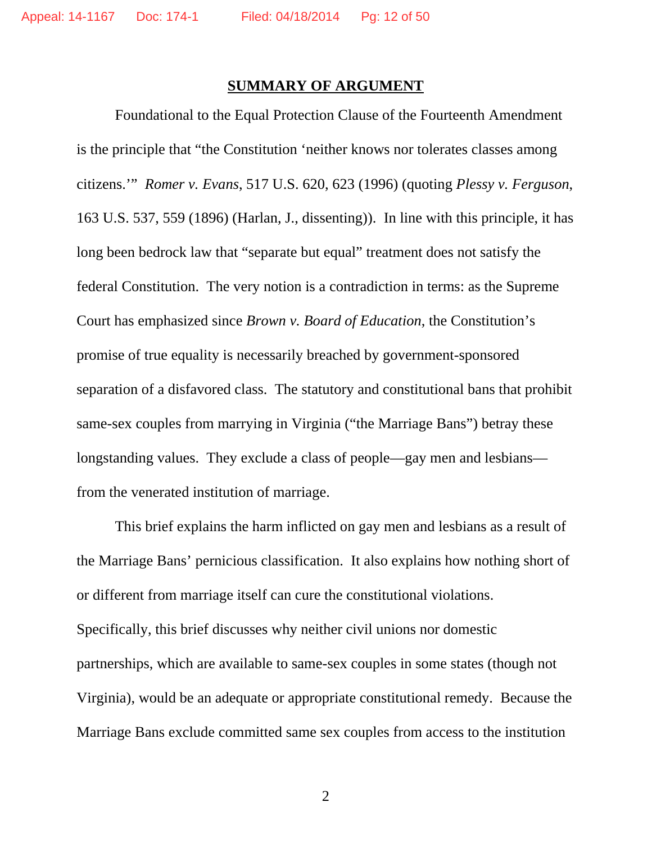### **SUMMARY OF ARGUMENT**

Foundational to the Equal Protection Clause of the Fourteenth Amendment is the principle that "the Constitution 'neither knows nor tolerates classes among citizens.'" *Romer v. Evans*, 517 U.S. 620, 623 (1996) (quoting *Plessy v. Ferguson*, 163 U.S. 537, 559 (1896) (Harlan, J., dissenting)). In line with this principle, it has long been bedrock law that "separate but equal" treatment does not satisfy the federal Constitution. The very notion is a contradiction in terms: as the Supreme Court has emphasized since *Brown v. Board of Education*, the Constitution's promise of true equality is necessarily breached by government-sponsored separation of a disfavored class. The statutory and constitutional bans that prohibit same-sex couples from marrying in Virginia ("the Marriage Bans") betray these longstanding values. They exclude a class of people—gay men and lesbians from the venerated institution of marriage.

This brief explains the harm inflicted on gay men and lesbians as a result of the Marriage Bans' pernicious classification. It also explains how nothing short of or different from marriage itself can cure the constitutional violations. Specifically, this brief discusses why neither civil unions nor domestic partnerships, which are available to same-sex couples in some states (though not Virginia), would be an adequate or appropriate constitutional remedy. Because the Marriage Bans exclude committed same sex couples from access to the institution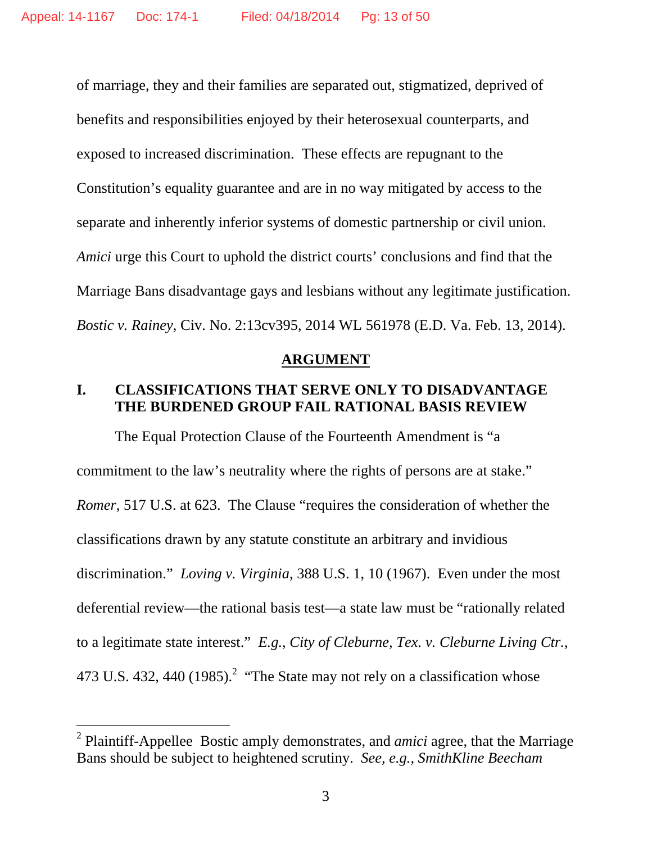of marriage, they and their families are separated out, stigmatized, deprived of benefits and responsibilities enjoyed by their heterosexual counterparts, and exposed to increased discrimination. These effects are repugnant to the Constitution's equality guarantee and are in no way mitigated by access to the separate and inherently inferior systems of domestic partnership or civil union. *Amici* urge this Court to uphold the district courts' conclusions and find that the Marriage Bans disadvantage gays and lesbians without any legitimate justification. *Bostic v. Rainey*, Civ. No. 2:13cv395, 2014 WL 561978 (E.D. Va. Feb. 13, 2014).

#### **ARGUMENT**

# **I. CLASSIFICATIONS THAT SERVE ONLY TO DISADVANTAGE THE BURDENED GROUP FAIL RATIONAL BASIS REVIEW**

The Equal Protection Clause of the Fourteenth Amendment is "a commitment to the law's neutrality where the rights of persons are at stake." *Romer*, 517 U.S. at 623. The Clause "requires the consideration of whether the classifications drawn by any statute constitute an arbitrary and invidious discrimination." *Loving v. Virginia*, 388 U.S. 1, 10 (1967).Even under the most deferential review—the rational basis test—a state law must be "rationally related to a legitimate state interest." *E.g.*, *City of Cleburne, Tex. v. Cleburne Living Ctr.*, 473 U.S. 432, 440 (1985).<sup>2</sup> "The State may not rely on a classification whose

 $\overline{a}$ 

<sup>2</sup> Plaintiff-Appellee Bostic amply demonstrates, and *amici* agree, that the Marriage Bans should be subject to heightened scrutiny. *See, e.g.*, *SmithKline Beecham*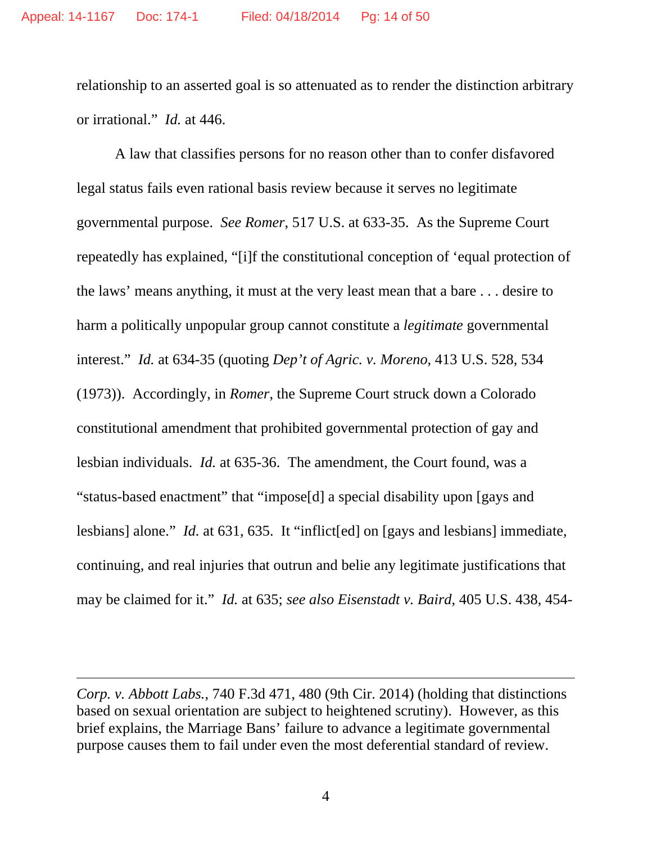relationship to an asserted goal is so attenuated as to render the distinction arbitrary or irrational." *Id.* at 446.

A law that classifies persons for no reason other than to confer disfavored legal status fails even rational basis review because it serves no legitimate governmental purpose. *See Romer*, 517 U.S. at 633-35. As the Supreme Court repeatedly has explained, "[i]f the constitutional conception of 'equal protection of the laws' means anything, it must at the very least mean that a bare . . . desire to harm a politically unpopular group cannot constitute a *legitimate* governmental interest." *Id.* at 634-35 (quoting *Dep't of Agric. v. Moreno*, 413 U.S. 528, 534 (1973)). Accordingly, in *Romer*, the Supreme Court struck down a Colorado constitutional amendment that prohibited governmental protection of gay and lesbian individuals. *Id.* at 635-36.The amendment, the Court found, was a "status-based enactment" that "impose[d] a special disability upon [gays and lesbians] alone." *Id.* at 631, 635. It "inflict[ed] on [gays and lesbians] immediate, continuing, and real injuries that outrun and belie any legitimate justifications that may be claimed for it." *Id.* at 635; *see also Eisenstadt v. Baird*, 405 U.S. 438, 454-

-

*Corp. v. Abbott Labs.*, 740 F.3d 471, 480 (9th Cir. 2014) (holding that distinctions based on sexual orientation are subject to heightened scrutiny).However, as this brief explains, the Marriage Bans' failure to advance a legitimate governmental purpose causes them to fail under even the most deferential standard of review.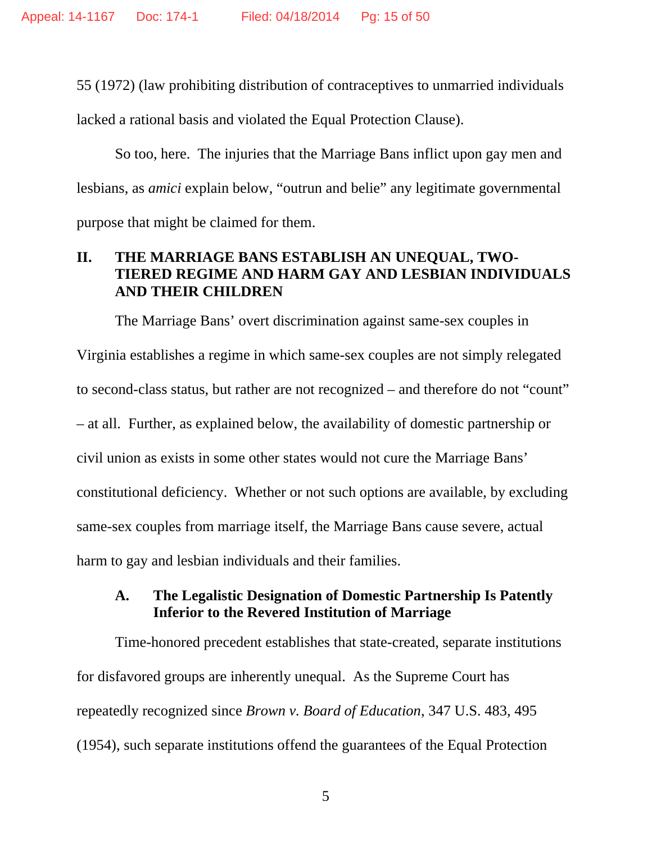55 (1972) (law prohibiting distribution of contraceptives to unmarried individuals lacked a rational basis and violated the Equal Protection Clause).

So too, here. The injuries that the Marriage Bans inflict upon gay men and lesbians, as *amici* explain below, "outrun and belie" any legitimate governmental purpose that might be claimed for them.

# **II. THE MARRIAGE BANS ESTABLISH AN UNEQUAL, TWO-TIERED REGIME AND HARM GAY AND LESBIAN INDIVIDUALS AND THEIR CHILDREN**

The Marriage Bans' overt discrimination against same-sex couples in Virginia establishes a regime in which same-sex couples are not simply relegated to second-class status, but rather are not recognized – and therefore do not "count" – at all. Further, as explained below, the availability of domestic partnership or civil union as exists in some other states would not cure the Marriage Bans' constitutional deficiency. Whether or not such options are available, by excluding same-sex couples from marriage itself, the Marriage Bans cause severe, actual harm to gay and lesbian individuals and their families.

### **A. The Legalistic Designation of Domestic Partnership Is Patently Inferior to the Revered Institution of Marriage**

Time-honored precedent establishes that state-created, separate institutions for disfavored groups are inherently unequal. As the Supreme Court has repeatedly recognized since *Brown v. Board of Education*, 347 U.S. 483, 495 (1954), such separate institutions offend the guarantees of the Equal Protection

 $5<sup>5</sup>$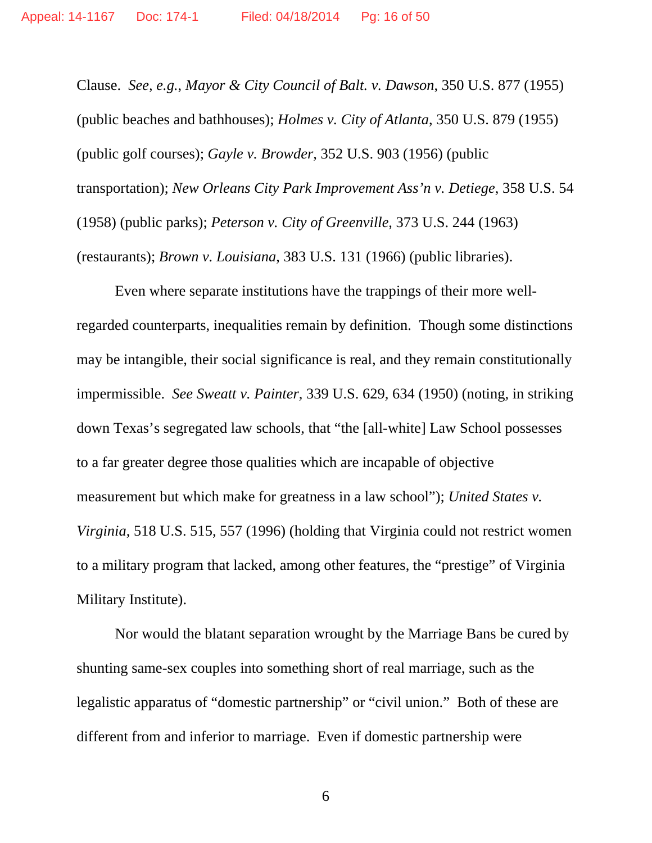Clause. *See, e.g.*, *Mayor & City Council of Balt. v. Dawson*, 350 U.S. 877 (1955) (public beaches and bathhouses); *Holmes v. City of Atlanta*, 350 U.S. 879 (1955) (public golf courses); *Gayle v. Browder*, 352 U.S. 903 (1956) (public transportation); *New Orleans City Park Improvement Ass'n v. Detiege*, 358 U.S. 54 (1958) (public parks); *Peterson v. City of Greenville*, 373 U.S. 244 (1963) (restaurants); *Brown v. Louisiana*, 383 U.S. 131 (1966) (public libraries).

Even where separate institutions have the trappings of their more wellregarded counterparts, inequalities remain by definition. Though some distinctions may be intangible, their social significance is real, and they remain constitutionally impermissible. *See Sweatt v. Painter*, 339 U.S. 629, 634 (1950) (noting, in striking down Texas's segregated law schools, that "the [all-white] Law School possesses to a far greater degree those qualities which are incapable of objective measurement but which make for greatness in a law school"); *United States v. Virginia*, 518 U.S. 515, 557 (1996) (holding that Virginia could not restrict women to a military program that lacked, among other features, the "prestige" of Virginia Military Institute).

Nor would the blatant separation wrought by the Marriage Bans be cured by shunting same-sex couples into something short of real marriage, such as the legalistic apparatus of "domestic partnership" or "civil union." Both of these are different from and inferior to marriage. Even if domestic partnership were

 $\overline{6}$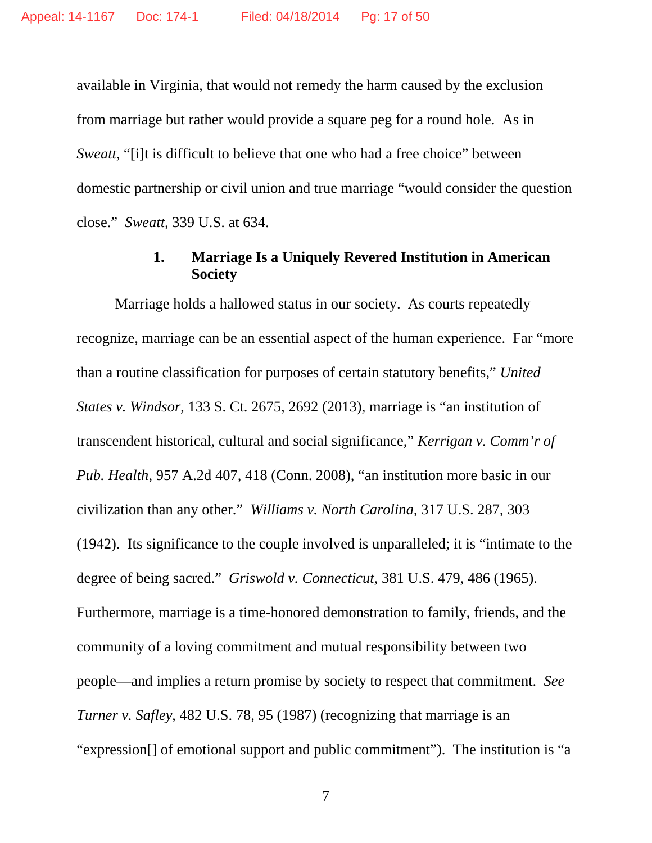available in Virginia, that would not remedy the harm caused by the exclusion from marriage but rather would provide a square peg for a round hole. As in *Sweatt,* "[i]t is difficult to believe that one who had a free choice" between domestic partnership or civil union and true marriage "would consider the question close." *Sweatt*, 339 U.S. at 634.

# **1. Marriage Is a Uniquely Revered Institution in American Society**

Marriage holds a hallowed status in our society. As courts repeatedly recognize, marriage can be an essential aspect of the human experience. Far "more than a routine classification for purposes of certain statutory benefits," *United States v. Windsor*, 133 S. Ct. 2675, 2692 (2013), marriage is "an institution of transcendent historical, cultural and social significance," *Kerrigan v. Comm'r of Pub. Health*, 957 A.2d 407, 418 (Conn. 2008), "an institution more basic in our civilization than any other." *Williams v. North Carolina*, 317 U.S. 287, 303 (1942). Its significance to the couple involved is unparalleled; it is "intimate to the degree of being sacred." *Griswold v. Connecticut*, 381 U.S. 479, 486 (1965). Furthermore, marriage is a time-honored demonstration to family, friends, and the community of a loving commitment and mutual responsibility between two people—and implies a return promise by society to respect that commitment. *See Turner v. Safley*, 482 U.S. 78, 95 (1987) (recognizing that marriage is an "expression[] of emotional support and public commitment"). The institution is "a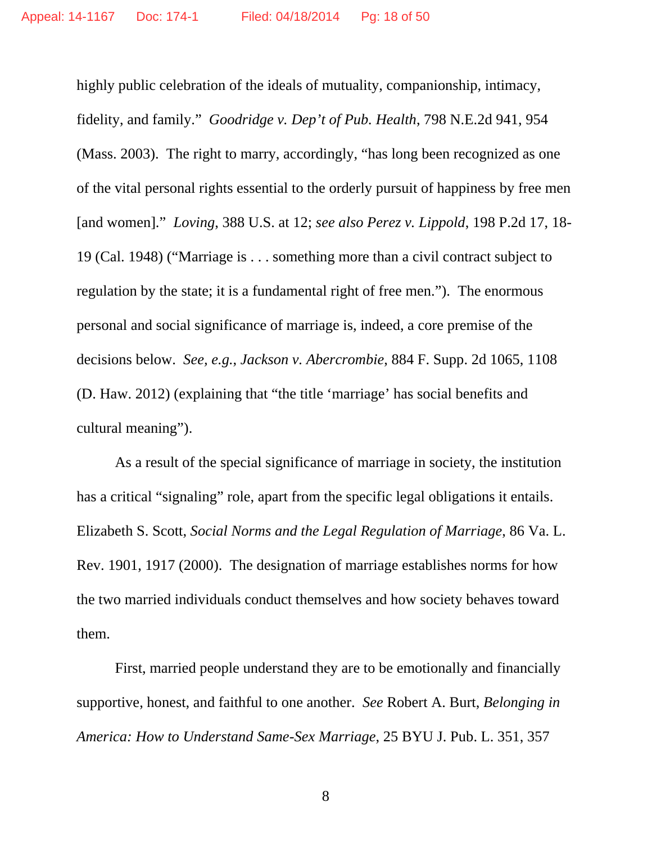highly public celebration of the ideals of mutuality, companionship, intimacy, fidelity, and family." *Goodridge v. Dep't of Pub. Health*, 798 N.E.2d 941, 954 (Mass. 2003). The right to marry, accordingly, "has long been recognized as one of the vital personal rights essential to the orderly pursuit of happiness by free men [and women]." *Loving*, 388 U.S. at 12; *see also Perez v. Lippold*, 198 P.2d 17, 18- 19 (Cal. 1948) ("Marriage is . . . something more than a civil contract subject to regulation by the state; it is a fundamental right of free men."). The enormous personal and social significance of marriage is, indeed, a core premise of the decisions below. *See, e.g.*, *Jackson v. Abercrombie*, 884 F. Supp. 2d 1065, 1108 (D. Haw. 2012) (explaining that "the title 'marriage' has social benefits and cultural meaning").

As a result of the special significance of marriage in society, the institution has a critical "signaling" role, apart from the specific legal obligations it entails. Elizabeth S. Scott, *Social Norms and the Legal Regulation of Marriage*, 86 Va. L. Rev. 1901, 1917 (2000). The designation of marriage establishes norms for how the two married individuals conduct themselves and how society behaves toward them.

First, married people understand they are to be emotionally and financially supportive, honest, and faithful to one another. *See* Robert A. Burt, *Belonging in America: How to Understand Same-Sex Marriage*, 25 BYU J. Pub. L. 351, 357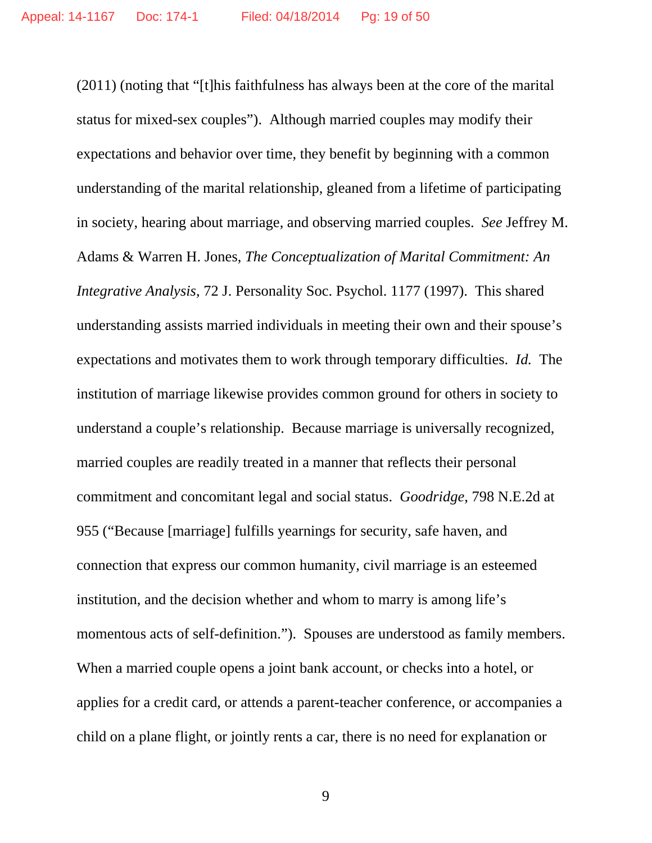(2011) (noting that "[t]his faithfulness has always been at the core of the marital status for mixed-sex couples"). Although married couples may modify their expectations and behavior over time, they benefit by beginning with a common understanding of the marital relationship, gleaned from a lifetime of participating in society, hearing about marriage, and observing married couples. *See* Jeffrey M. Adams & Warren H. Jones, *The Conceptualization of Marital Commitment: An Integrative Analysis*, 72 J. Personality Soc. Psychol. 1177 (1997). This shared understanding assists married individuals in meeting their own and their spouse's expectations and motivates them to work through temporary difficulties. *Id.* The institution of marriage likewise provides common ground for others in society to understand a couple's relationship. Because marriage is universally recognized, married couples are readily treated in a manner that reflects their personal commitment and concomitant legal and social status. *Goodridge*, 798 N.E.2d at 955 ("Because [marriage] fulfills yearnings for security, safe haven, and connection that express our common humanity, civil marriage is an esteemed institution, and the decision whether and whom to marry is among life's momentous acts of self-definition."). Spouses are understood as family members. When a married couple opens a joint bank account, or checks into a hotel, or applies for a credit card, or attends a parent-teacher conference, or accompanies a child on a plane flight, or jointly rents a car, there is no need for explanation or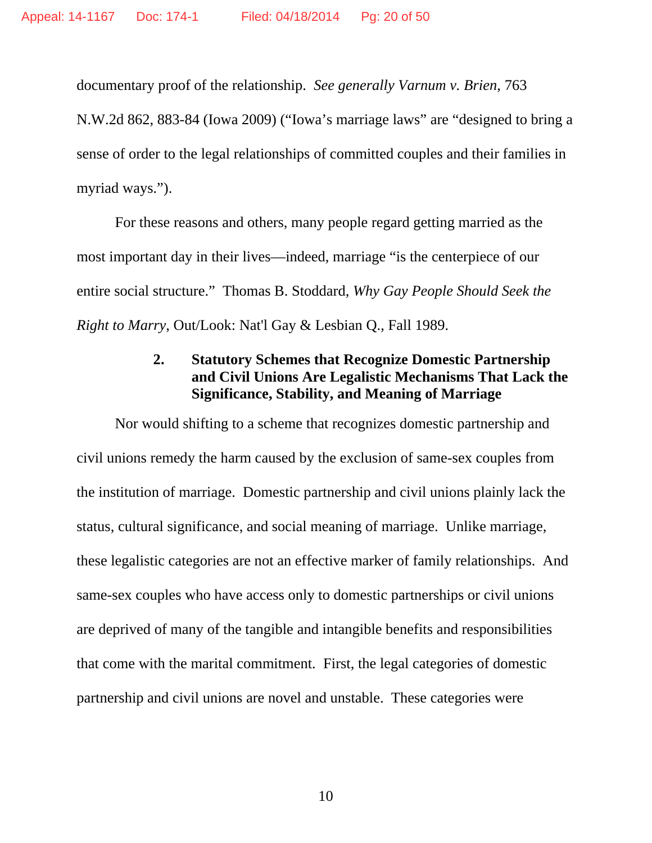documentary proof of the relationship. *See generally Varnum v. Brien*, 763

N.W.2d 862, 883-84 (Iowa 2009) ("Iowa's marriage laws" are "designed to bring a sense of order to the legal relationships of committed couples and their families in myriad ways.").

For these reasons and others, many people regard getting married as the most important day in their lives—indeed, marriage "is the centerpiece of our entire social structure." Thomas B. Stoddard, *Why Gay People Should Seek the Right to Marry*, Out/Look: Nat'l Gay & Lesbian Q., Fall 1989.

# **2. Statutory Schemes that Recognize Domestic Partnership and Civil Unions Are Legalistic Mechanisms That Lack the Significance, Stability, and Meaning of Marriage**

Nor would shifting to a scheme that recognizes domestic partnership and civil unions remedy the harm caused by the exclusion of same-sex couples from the institution of marriage. Domestic partnership and civil unions plainly lack the status, cultural significance, and social meaning of marriage. Unlike marriage, these legalistic categories are not an effective marker of family relationships. And same-sex couples who have access only to domestic partnerships or civil unions are deprived of many of the tangible and intangible benefits and responsibilities that come with the marital commitment. First, the legal categories of domestic partnership and civil unions are novel and unstable. These categories were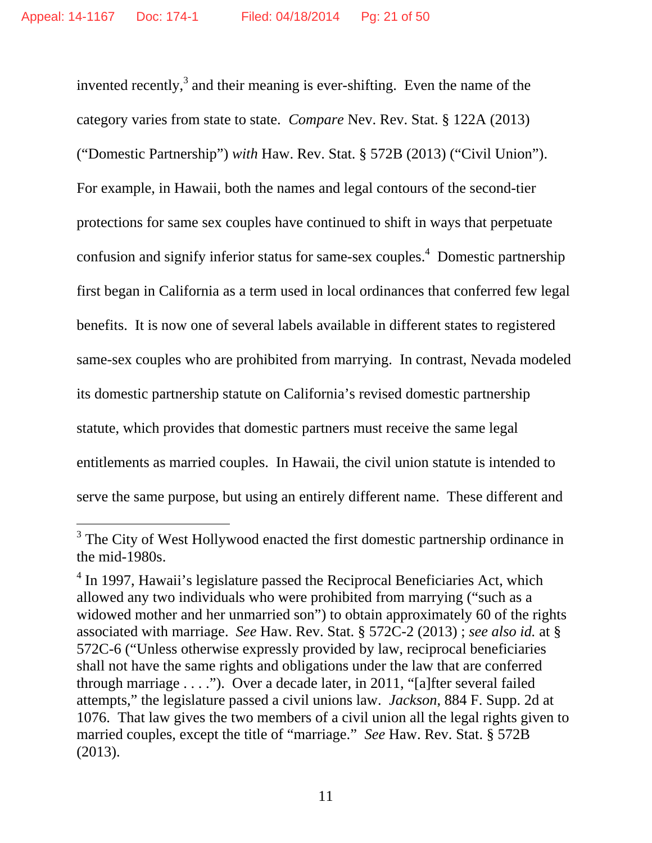invented recently,<sup>3</sup> and their meaning is ever-shifting. Even the name of the category varies from state to state. *Compare* Nev. Rev. Stat. § 122A (2013) ("Domestic Partnership") *with* Haw. Rev. Stat. § 572B (2013) ("Civil Union"). For example, in Hawaii, both the names and legal contours of the second-tier protections for same sex couples have continued to shift in ways that perpetuate confusion and signify inferior status for same-sex couples.<sup>4</sup> Domestic partnership first began in California as a term used in local ordinances that conferred few legal benefits. It is now one of several labels available in different states to registered same-sex couples who are prohibited from marrying. In contrast, Nevada modeled its domestic partnership statute on California's revised domestic partnership statute, which provides that domestic partners must receive the same legal entitlements as married couples. In Hawaii, the civil union statute is intended to serve the same purpose, but using an entirely different name. These different and

-

<sup>&</sup>lt;sup>3</sup> The City of West Hollywood enacted the first domestic partnership ordinance in the mid-1980s.

<sup>&</sup>lt;sup>4</sup> In 1997, Hawaii's legislature passed the Reciprocal Beneficiaries Act, which allowed any two individuals who were prohibited from marrying ("such as a widowed mother and her unmarried son") to obtain approximately 60 of the rights associated with marriage. *See* Haw. Rev. Stat. § 572C-2 (2013) ; *see also id.* at § 572C-6 ("Unless otherwise expressly provided by law, reciprocal beneficiaries shall not have the same rights and obligations under the law that are conferred through marriage . . . ."). Over a decade later, in 2011, "[a]fter several failed attempts," the legislature passed a civil unions law. *Jackson*, 884 F. Supp. 2d at 1076. That law gives the two members of a civil union all the legal rights given to married couples, except the title of "marriage." *See* Haw. Rev. Stat. § 572B (2013).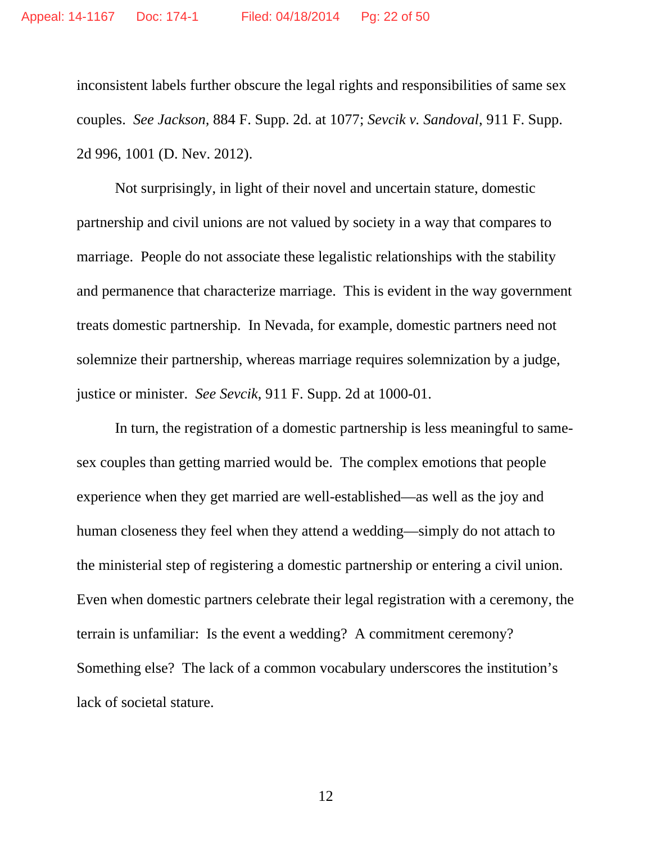inconsistent labels further obscure the legal rights and responsibilities of same sex couples. *See Jackson,* 884 F. Supp. 2d. at 1077; *Sevcik v. Sandoval*, 911 F. Supp. 2d 996, 1001 (D. Nev. 2012).

Not surprisingly, in light of their novel and uncertain stature, domestic partnership and civil unions are not valued by society in a way that compares to marriage. People do not associate these legalistic relationships with the stability and permanence that characterize marriage. This is evident in the way government treats domestic partnership. In Nevada, for example, domestic partners need not solemnize their partnership, whereas marriage requires solemnization by a judge, justice or minister. *See Sevcik*, 911 F. Supp. 2d at 1000-01.

In turn, the registration of a domestic partnership is less meaningful to samesex couples than getting married would be. The complex emotions that people experience when they get married are well-established—as well as the joy and human closeness they feel when they attend a wedding—simply do not attach to the ministerial step of registering a domestic partnership or entering a civil union. Even when domestic partners celebrate their legal registration with a ceremony, the terrain is unfamiliar: Is the event a wedding? A commitment ceremony? Something else? The lack of a common vocabulary underscores the institution's lack of societal stature.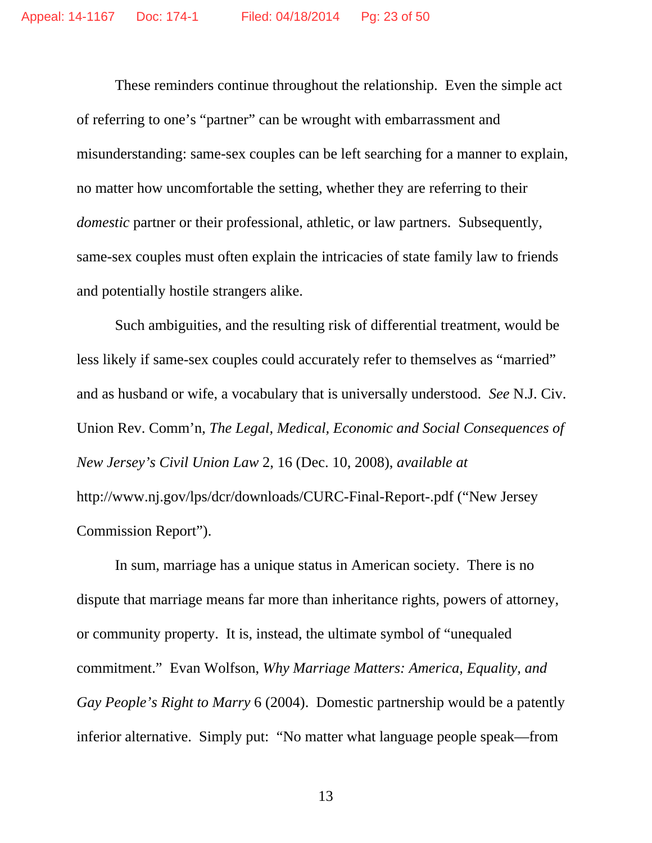These reminders continue throughout the relationship. Even the simple act of referring to one's "partner" can be wrought with embarrassment and misunderstanding: same-sex couples can be left searching for a manner to explain, no matter how uncomfortable the setting, whether they are referring to their *domestic* partner or their professional, athletic, or law partners. Subsequently, same-sex couples must often explain the intricacies of state family law to friends and potentially hostile strangers alike.

Such ambiguities, and the resulting risk of differential treatment, would be less likely if same-sex couples could accurately refer to themselves as "married" and as husband or wife, a vocabulary that is universally understood. *See* N.J. Civ. Union Rev. Comm'n, *The Legal, Medical, Economic and Social Consequences of New Jersey's Civil Union Law* 2, 16 (Dec. 10, 2008), *available at* http://www.nj.gov/lps/dcr/downloads/CURC-Final-Report-.pdf ("New Jersey Commission Report").

In sum, marriage has a unique status in American society. There is no dispute that marriage means far more than inheritance rights, powers of attorney, or community property. It is, instead, the ultimate symbol of "unequaled commitment." Evan Wolfson, *Why Marriage Matters: America, Equality, and Gay People's Right to Marry* 6 (2004). Domestic partnership would be a patently inferior alternative. Simply put: "No matter what language people speak—from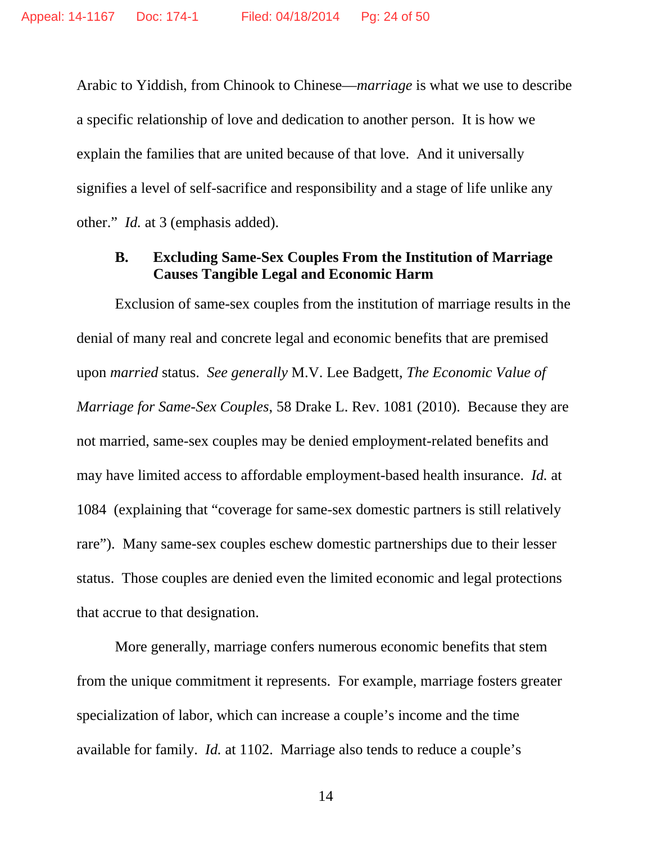Arabic to Yiddish, from Chinook to Chinese—*marriage* is what we use to describe a specific relationship of love and dedication to another person. It is how we explain the families that are united because of that love. And it universally signifies a level of self-sacrifice and responsibility and a stage of life unlike any other." *Id.* at 3 (emphasis added).

### **B. Excluding Same-Sex Couples From the Institution of Marriage Causes Tangible Legal and Economic Harm**

Exclusion of same-sex couples from the institution of marriage results in the denial of many real and concrete legal and economic benefits that are premised upon *married* status. *See generally* M.V. Lee Badgett, *The Economic Value of Marriage for Same-Sex Couples*, 58 Drake L. Rev. 1081 (2010). Because they are not married, same-sex couples may be denied employment-related benefits and may have limited access to affordable employment-based health insurance. *Id.* at 1084 (explaining that "coverage for same-sex domestic partners is still relatively rare"). Many same-sex couples eschew domestic partnerships due to their lesser status. Those couples are denied even the limited economic and legal protections that accrue to that designation.

More generally, marriage confers numerous economic benefits that stem from the unique commitment it represents. For example, marriage fosters greater specialization of labor, which can increase a couple's income and the time available for family. *Id.* at 1102. Marriage also tends to reduce a couple's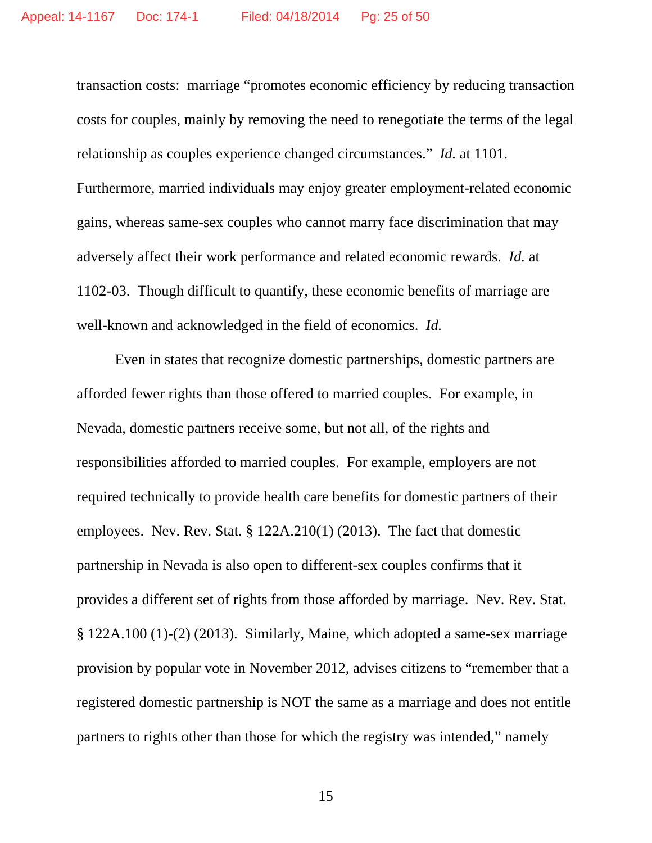transaction costs: marriage "promotes economic efficiency by reducing transaction costs for couples, mainly by removing the need to renegotiate the terms of the legal relationship as couples experience changed circumstances." *Id.* at 1101. Furthermore, married individuals may enjoy greater employment-related economic gains, whereas same-sex couples who cannot marry face discrimination that may adversely affect their work performance and related economic rewards. *Id.* at 1102-03. Though difficult to quantify, these economic benefits of marriage are well-known and acknowledged in the field of economics. *Id.*

Even in states that recognize domestic partnerships, domestic partners are afforded fewer rights than those offered to married couples. For example, in Nevada, domestic partners receive some, but not all, of the rights and responsibilities afforded to married couples. For example, employers are not required technically to provide health care benefits for domestic partners of their employees. Nev. Rev. Stat. § 122A.210(1) (2013). The fact that domestic partnership in Nevada is also open to different-sex couples confirms that it provides a different set of rights from those afforded by marriage. Nev. Rev. Stat. § 122A.100 (1)-(2) (2013). Similarly, Maine, which adopted a same-sex marriage provision by popular vote in November 2012, advises citizens to "remember that a registered domestic partnership is NOT the same as a marriage and does not entitle partners to rights other than those for which the registry was intended," namely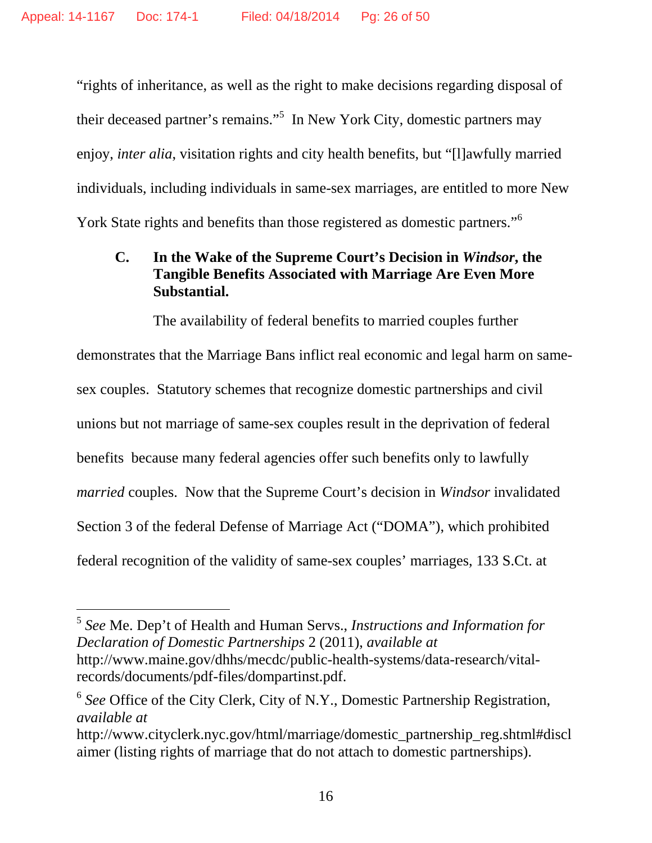"rights of inheritance, as well as the right to make decisions regarding disposal of their deceased partner's remains."<sup>5</sup> In New York City, domestic partners may enjoy, *inter alia*, visitation rights and city health benefits, but "[l]awfully married individuals, including individuals in same-sex marriages, are entitled to more New York State rights and benefits than those registered as domestic partners."<sup>6</sup>

# **C. In the Wake of the Supreme Court's Decision in** *Windsor***, the Tangible Benefits Associated with Marriage Are Even More Substantial.**

The availability of federal benefits to married couples further

demonstrates that the Marriage Bans inflict real economic and legal harm on samesex couples. Statutory schemes that recognize domestic partnerships and civil unions but not marriage of same-sex couples result in the deprivation of federal benefits because many federal agencies offer such benefits only to lawfully *married* couples. Now that the Supreme Court's decision in *Windsor* invalidated Section 3 of the federal Defense of Marriage Act ("DOMA"), which prohibited federal recognition of the validity of same-sex couples' marriages, 133 S.Ct. at

l

<sup>5</sup> *See* Me. Dep't of Health and Human Servs., *Instructions and Information for Declaration of Domestic Partnerships* 2 (2011), *available at*  http://www.maine.gov/dhhs/mecdc/public-health-systems/data-research/vitalrecords/documents/pdf-files/dompartinst.pdf.

<sup>6</sup> *See* Office of the City Clerk, City of N.Y., Domestic Partnership Registration, *available at* 

http://www.cityclerk.nyc.gov/html/marriage/domestic\_partnership\_reg.shtml#discl aimer (listing rights of marriage that do not attach to domestic partnerships).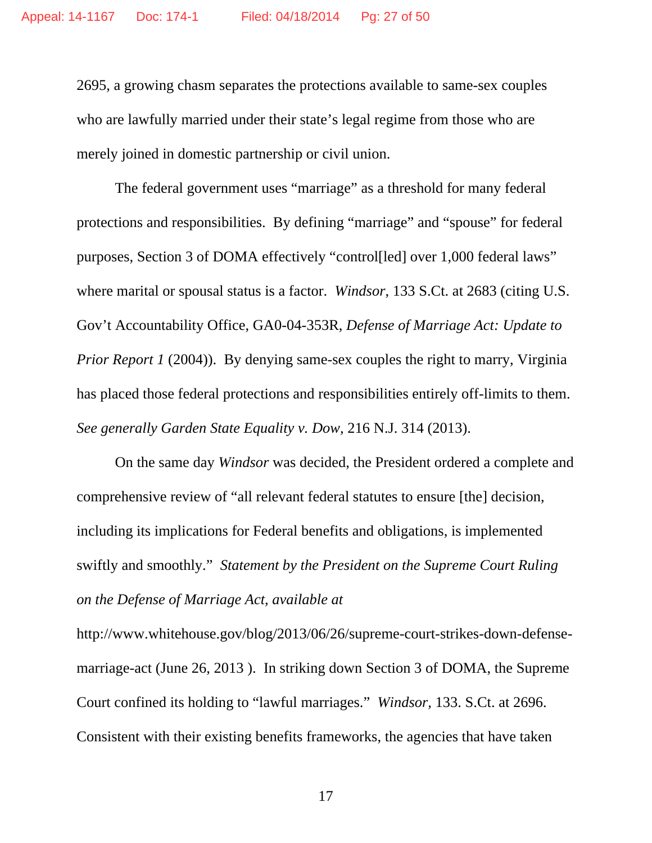2695, a growing chasm separates the protections available to same-sex couples who are lawfully married under their state's legal regime from those who are merely joined in domestic partnership or civil union.

The federal government uses "marriage" as a threshold for many federal protections and responsibilities. By defining "marriage" and "spouse" for federal purposes, Section 3 of DOMA effectively "control[led] over 1,000 federal laws" where marital or spousal status is a factor. *Windsor*, 133 S.Ct. at 2683 (citing U.S. Gov't Accountability Office, GA0-04-353R, *Defense of Marriage Act: Update to Prior Report 1* (2004)). By denying same-sex couples the right to marry, Virginia has placed those federal protections and responsibilities entirely off-limits to them. *See generally Garden State Equality v. Dow*, 216 N.J. 314 (2013).

On the same day *Windsor* was decided, the President ordered a complete and comprehensive review of "all relevant federal statutes to ensure [the] decision, including its implications for Federal benefits and obligations, is implemented swiftly and smoothly." *Statement by the President on the Supreme Court Ruling on the Defense of Marriage Act, available at* 

http://www.whitehouse.gov/blog/2013/06/26/supreme-court-strikes-down-defensemarriage-act (June 26, 2013 ). In striking down Section 3 of DOMA, the Supreme Court confined its holding to "lawful marriages." *Windsor,* 133. S.Ct. at 2696. Consistent with their existing benefits frameworks, the agencies that have taken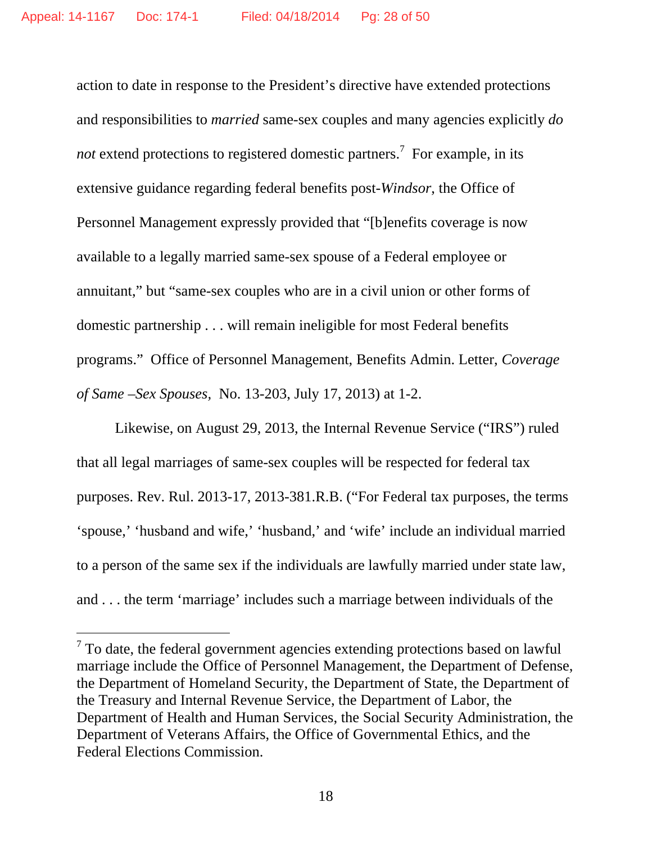action to date in response to the President's directive have extended protections and responsibilities to *married* same-sex couples and many agencies explicitly *do*  not extend protections to registered domestic partners.<sup>7</sup> For example, in its extensive guidance regarding federal benefits post-*Windsor*, the Office of Personnel Management expressly provided that "[b]enefits coverage is now available to a legally married same-sex spouse of a Federal employee or annuitant," but "same-sex couples who are in a civil union or other forms of domestic partnership . . . will remain ineligible for most Federal benefits programs." Office of Personnel Management, Benefits Admin. Letter, *Coverage of Same –Sex Spouses,* No. 13-203, July 17, 2013) at 1-2.

Likewise, on August 29, 2013, the Internal Revenue Service ("IRS") ruled that all legal marriages of same-sex couples will be respected for federal tax purposes. Rev. Rul. 2013-17, 2013-381.R.B. ("For Federal tax purposes, the terms 'spouse,' 'husband and wife,' 'husband,' and 'wife' include an individual married to a person of the same sex if the individuals are lawfully married under state law, and . . . the term 'marriage' includes such a marriage between individuals of the

-

 $7$  To date, the federal government agencies extending protections based on lawful marriage include the Office of Personnel Management, the Department of Defense, the Department of Homeland Security, the Department of State, the Department of the Treasury and Internal Revenue Service, the Department of Labor, the Department of Health and Human Services, the Social Security Administration, the Department of Veterans Affairs, the Office of Governmental Ethics, and the Federal Elections Commission.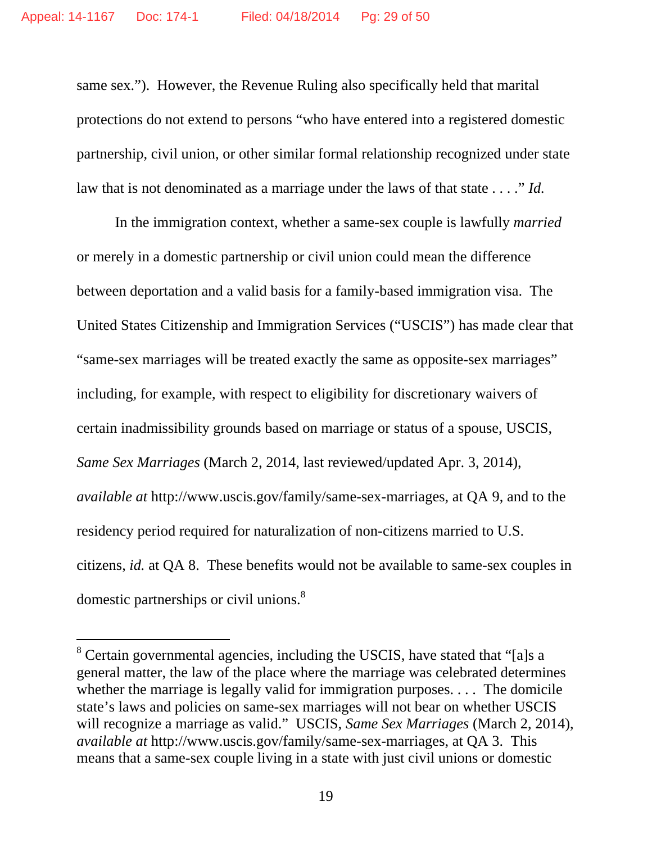same sex."). However, the Revenue Ruling also specifically held that marital protections do not extend to persons "who have entered into a registered domestic partnership, civil union, or other similar formal relationship recognized under state law that is not denominated as a marriage under the laws of that state . . . ." *Id.* 

In the immigration context, whether a same-sex couple is lawfully *married*  or merely in a domestic partnership or civil union could mean the difference between deportation and a valid basis for a family-based immigration visa. The United States Citizenship and Immigration Services ("USCIS") has made clear that "same-sex marriages will be treated exactly the same as opposite-sex marriages" including, for example, with respect to eligibility for discretionary waivers of certain inadmissibility grounds based on marriage or status of a spouse, USCIS, *Same Sex Marriages* (March 2, 2014, last reviewed/updated Apr. 3, 2014), *available at* http://www.uscis.gov/family/same-sex-marriages, at QA 9, and to the residency period required for naturalization of non-citizens married to U.S. citizens, *id.* at QA 8. These benefits would not be available to same-sex couples in domestic partnerships or civil unions.<sup>8</sup>

-

<sup>&</sup>lt;sup>8</sup> Certain governmental agencies, including the USCIS, have stated that "[a]s a general matter, the law of the place where the marriage was celebrated determines whether the marriage is legally valid for immigration purposes. . . . The domicile state's laws and policies on same-sex marriages will not bear on whether USCIS will recognize a marriage as valid." USCIS, *Same Sex Marriages* (March 2, 2014), *available at* http://www.uscis.gov/family/same-sex-marriages, at QA 3. This means that a same-sex couple living in a state with just civil unions or domestic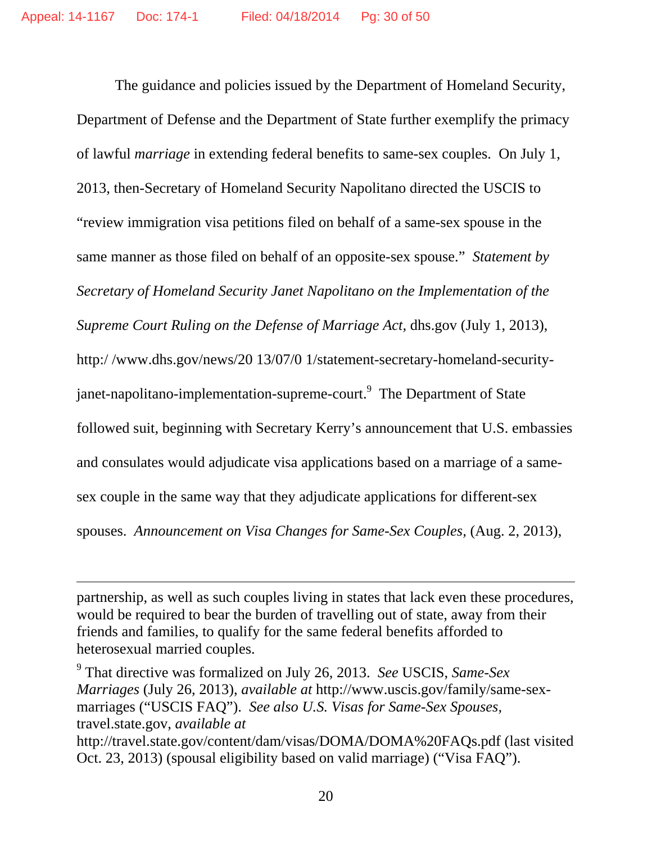The guidance and policies issued by the Department of Homeland Security, Department of Defense and the Department of State further exemplify the primacy of lawful *marriage* in extending federal benefits to same-sex couples. On July 1, 2013, then-Secretary of Homeland Security Napolitano directed the USCIS to "review immigration visa petitions filed on behalf of a same-sex spouse in the same manner as those filed on behalf of an opposite-sex spouse." *Statement by Secretary of Homeland Security Janet Napolitano on the Implementation of the Supreme Court Ruling on the Defense of Marriage Act,* dhs.gov (July 1, 2013), http:/ /www.dhs.gov/news/20 13/07/0 1/statement-secretary-homeland-securityjanet-napolitano-implementation-supreme-court.<sup>9</sup> The Department of State followed suit, beginning with Secretary Kerry's announcement that U.S. embassies and consulates would adjudicate visa applications based on a marriage of a samesex couple in the same way that they adjudicate applications for different-sex spouses. *Announcement on Visa Changes for Same-Sex Couples,* (Aug. 2, 2013),

partnership, as well as such couples living in states that lack even these procedures, would be required to bear the burden of travelling out of state, away from their friends and families, to qualify for the same federal benefits afforded to heterosexual married couples.

-

9 That directive was formalized on July 26, 2013. *See* USCIS, *Same-Sex Marriages* (July 26, 2013), *available at* http://www.uscis.gov/family/same-sexmarriages ("USCIS FAQ"). *See also U.S. Visas for Same-Sex Spouses,*  travel.state.gov, *available at*  http://travel.state.gov/content/dam/visas/DOMA/DOMA%20FAQs.pdf (last visited Oct. 23, 2013) (spousal eligibility based on valid marriage) ("Visa FAQ").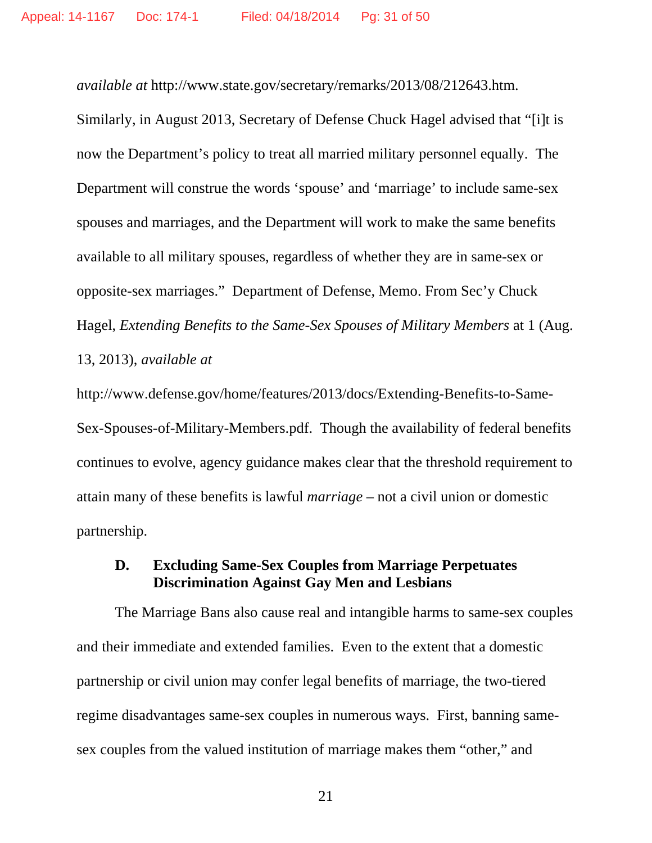*available at* http://www.state.gov/secretary/remarks/2013/08/212643.htm.

Similarly, in August 2013, Secretary of Defense Chuck Hagel advised that "[i]t is now the Department's policy to treat all married military personnel equally. The Department will construe the words 'spouse' and 'marriage' to include same-sex spouses and marriages, and the Department will work to make the same benefits available to all military spouses, regardless of whether they are in same-sex or opposite-sex marriages." Department of Defense, Memo. From Sec'y Chuck Hagel, *Extending Benefits to the Same-Sex Spouses of Military Members* at 1 (Aug. 13, 2013), *available at* 

http://www.defense.gov/home/features/2013/docs/Extending-Benefits-to-Same-Sex-Spouses-of-Military-Members.pdf. Though the availability of federal benefits continues to evolve, agency guidance makes clear that the threshold requirement to attain many of these benefits is lawful *marriage* – not a civil union or domestic partnership.

## **D. Excluding Same-Sex Couples from Marriage Perpetuates Discrimination Against Gay Men and Lesbians**

The Marriage Bans also cause real and intangible harms to same-sex couples and their immediate and extended families. Even to the extent that a domestic partnership or civil union may confer legal benefits of marriage, the two-tiered regime disadvantages same-sex couples in numerous ways. First, banning samesex couples from the valued institution of marriage makes them "other," and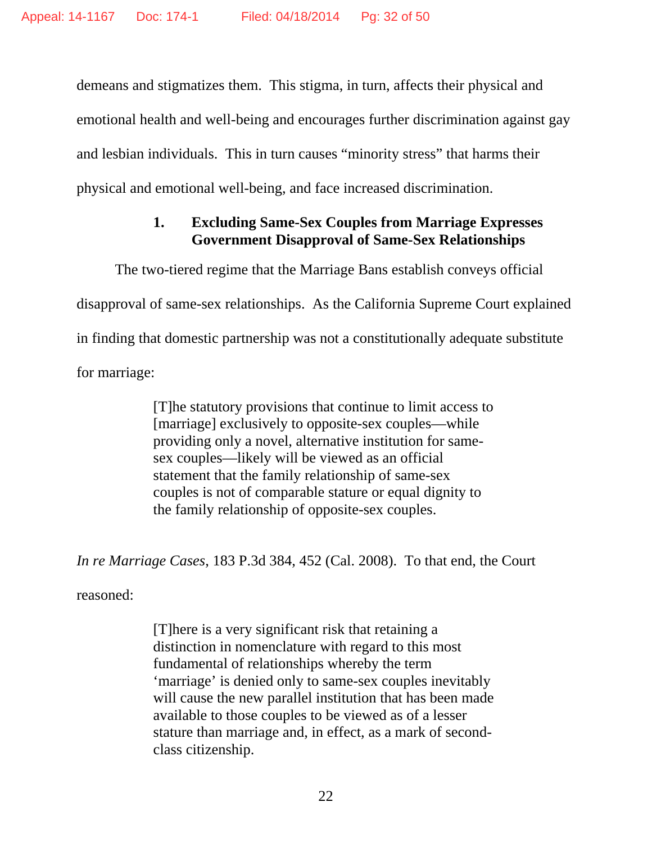demeans and stigmatizes them. This stigma, in turn, affects their physical and emotional health and well-being and encourages further discrimination against gay and lesbian individuals. This in turn causes "minority stress" that harms their physical and emotional well-being, and face increased discrimination.

# **1. Excluding Same-Sex Couples from Marriage Expresses Government Disapproval of Same-Sex Relationships**

The two-tiered regime that the Marriage Bans establish conveys official disapproval of same-sex relationships. As the California Supreme Court explained in finding that domestic partnership was not a constitutionally adequate substitute for marriage:

> [T]he statutory provisions that continue to limit access to [marriage] exclusively to opposite-sex couples—while providing only a novel, alternative institution for samesex couples—likely will be viewed as an official statement that the family relationship of same-sex couples is not of comparable stature or equal dignity to the family relationship of opposite-sex couples.

*In re Marriage Cases*, 183 P.3d 384, 452 (Cal. 2008). To that end, the Court

reasoned:

[T]here is a very significant risk that retaining a distinction in nomenclature with regard to this most fundamental of relationships whereby the term 'marriage' is denied only to same-sex couples inevitably will cause the new parallel institution that has been made available to those couples to be viewed as of a lesser stature than marriage and, in effect, as a mark of secondclass citizenship.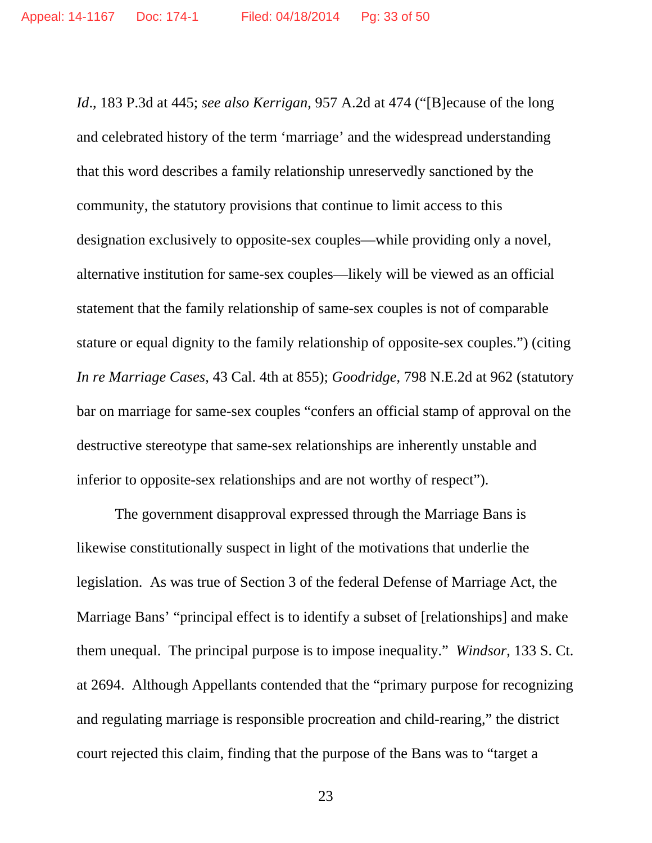*Id*., 183 P.3d at 445; *see also Kerrigan*, 957 A.2d at 474 ("[B]ecause of the long and celebrated history of the term 'marriage' and the widespread understanding that this word describes a family relationship unreservedly sanctioned by the community, the statutory provisions that continue to limit access to this designation exclusively to opposite-sex couples—while providing only a novel, alternative institution for same-sex couples—likely will be viewed as an official statement that the family relationship of same-sex couples is not of comparable stature or equal dignity to the family relationship of opposite-sex couples.") (citing *In re Marriage Cases*, 43 Cal. 4th at 855); *Goodridge*, 798 N.E.2d at 962 (statutory bar on marriage for same-sex couples "confers an official stamp of approval on the destructive stereotype that same-sex relationships are inherently unstable and inferior to opposite-sex relationships and are not worthy of respect").

The government disapproval expressed through the Marriage Bans is likewise constitutionally suspect in light of the motivations that underlie the legislation. As was true of Section 3 of the federal Defense of Marriage Act, the Marriage Bans' "principal effect is to identify a subset of [relationships] and make them unequal. The principal purpose is to impose inequality." *Windsor*, 133 S. Ct. at 2694. Although Appellants contended that the "primary purpose for recognizing and regulating marriage is responsible procreation and child-rearing," the district court rejected this claim, finding that the purpose of the Bans was to "target a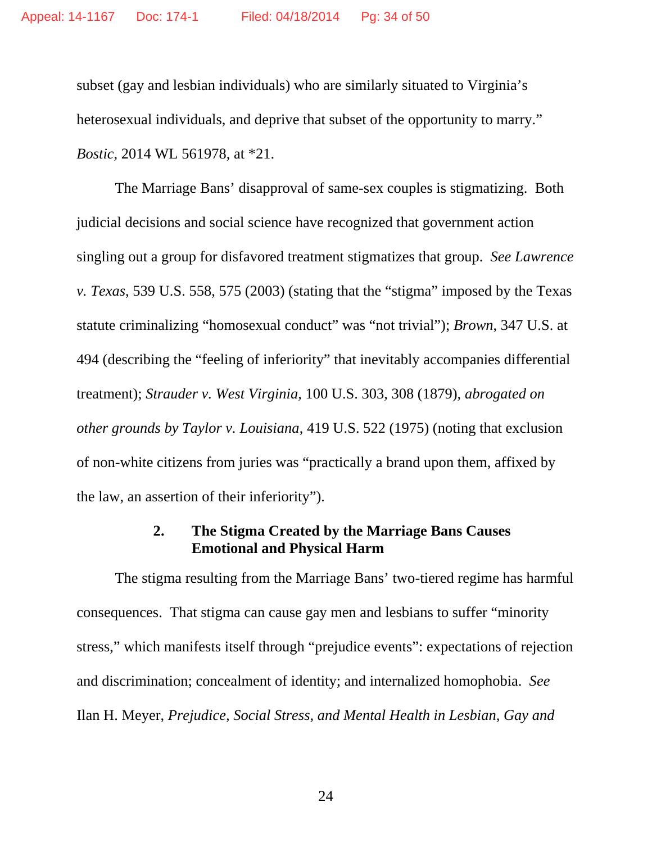subset (gay and lesbian individuals) who are similarly situated to Virginia's heterosexual individuals, and deprive that subset of the opportunity to marry." *Bostic*, 2014 WL 561978, at \*21.

The Marriage Bans' disapproval of same-sex couples is stigmatizing. Both judicial decisions and social science have recognized that government action singling out a group for disfavored treatment stigmatizes that group. *See Lawrence v. Texas*, 539 U.S. 558, 575 (2003) (stating that the "stigma" imposed by the Texas statute criminalizing "homosexual conduct" was "not trivial"); *Brown*, 347 U.S. at 494 (describing the "feeling of inferiority" that inevitably accompanies differential treatment); *Strauder v. West Virginia*, 100 U.S. 303, 308 (1879), *abrogated on other grounds by Taylor v. Louisiana*, 419 U.S. 522 (1975) (noting that exclusion of non-white citizens from juries was "practically a brand upon them, affixed by the law, an assertion of their inferiority").

### **2. The Stigma Created by the Marriage Bans Causes Emotional and Physical Harm**

The stigma resulting from the Marriage Bans' two-tiered regime has harmful consequences. That stigma can cause gay men and lesbians to suffer "minority stress," which manifests itself through "prejudice events": expectations of rejection and discrimination; concealment of identity; and internalized homophobia. *See* Ilan H. Meyer, *Prejudice, Social Stress, and Mental Health in Lesbian, Gay and*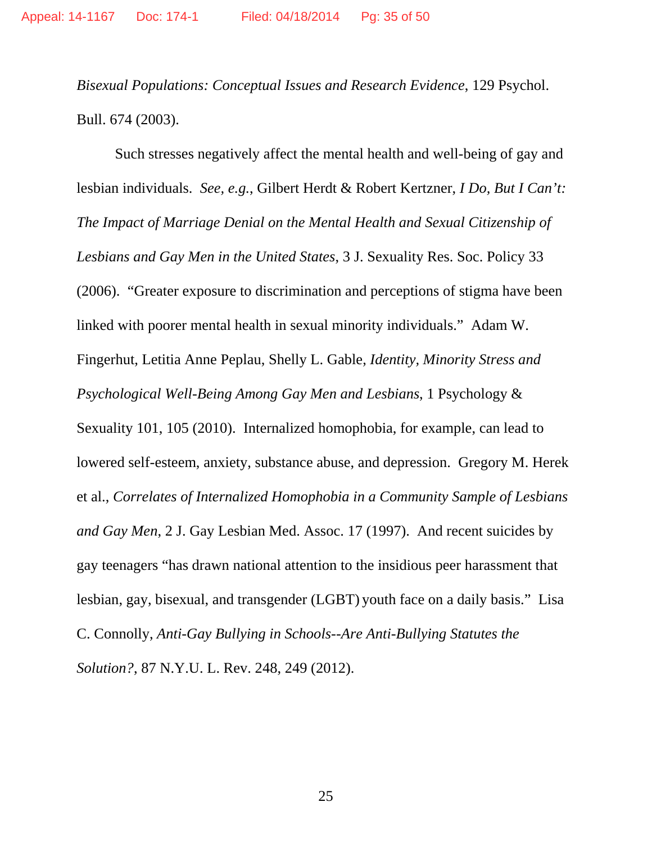*Bisexual Populations: Conceptual Issues and Research Evidence*, 129 Psychol. Bull. 674 (2003).

Such stresses negatively affect the mental health and well-being of gay and lesbian individuals. *See, e.g.*, Gilbert Herdt & Robert Kertzner, *I Do, But I Can't: The Impact of Marriage Denial on the Mental Health and Sexual Citizenship of Lesbians and Gay Men in the United States*, 3 J. Sexuality Res. Soc. Policy 33 (2006). "Greater exposure to discrimination and perceptions of stigma have been linked with poorer mental health in sexual minority individuals." Adam W. Fingerhut, Letitia Anne Peplau, Shelly L. Gable, *Identity, Minority Stress and Psychological Well-Being Among Gay Men and Lesbians*, 1 Psychology & Sexuality 101, 105 (2010). Internalized homophobia, for example, can lead to lowered self-esteem, anxiety, substance abuse, and depression. Gregory M. Herek et al., *Correlates of Internalized Homophobia in a Community Sample of Lesbians and Gay Men*, 2 J. Gay Lesbian Med. Assoc. 17 (1997). And recent suicides by gay teenagers "has drawn national attention to the insidious peer harassment that lesbian, gay, bisexual, and transgender (LGBT) youth face on a daily basis." Lisa C. Connolly, *Anti-Gay Bullying in Schools--Are Anti-Bullying Statutes the Solution?*, 87 N.Y.U. L. Rev. 248, 249 (2012).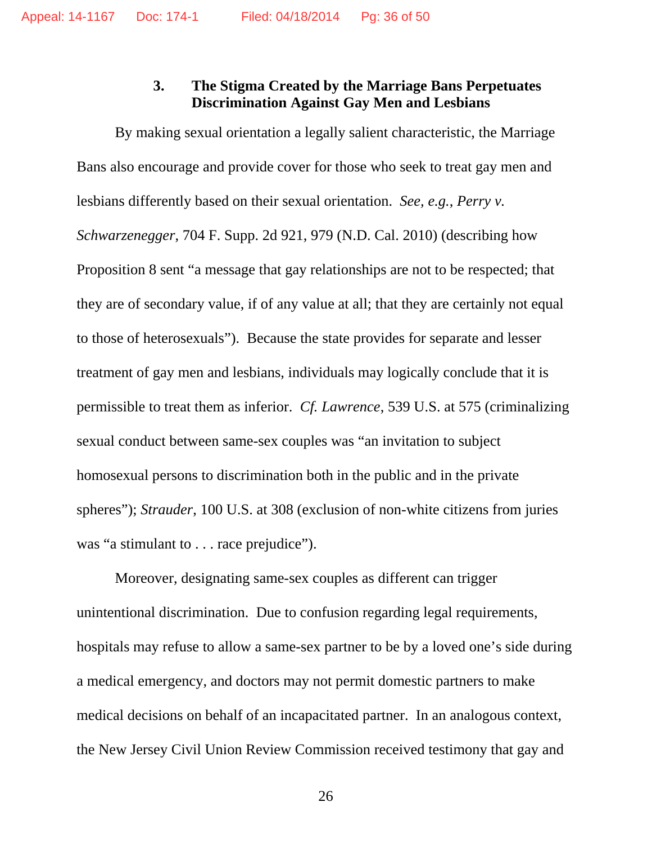### **3. The Stigma Created by the Marriage Bans Perpetuates Discrimination Against Gay Men and Lesbians**

By making sexual orientation a legally salient characteristic, the Marriage Bans also encourage and provide cover for those who seek to treat gay men and lesbians differently based on their sexual orientation. *See, e.g.*, *Perry v. Schwarzenegger*, 704 F. Supp. 2d 921, 979 (N.D. Cal. 2010) (describing how Proposition 8 sent "a message that gay relationships are not to be respected; that they are of secondary value, if of any value at all; that they are certainly not equal to those of heterosexuals"). Because the state provides for separate and lesser treatment of gay men and lesbians, individuals may logically conclude that it is permissible to treat them as inferior. *Cf. Lawrence*, 539 U.S. at 575 (criminalizing sexual conduct between same-sex couples was "an invitation to subject homosexual persons to discrimination both in the public and in the private spheres"); *Strauder*, 100 U.S. at 308 (exclusion of non-white citizens from juries was "a stimulant to . . . race prejudice").

Moreover, designating same-sex couples as different can trigger unintentional discrimination. Due to confusion regarding legal requirements, hospitals may refuse to allow a same-sex partner to be by a loved one's side during a medical emergency, and doctors may not permit domestic partners to make medical decisions on behalf of an incapacitated partner. In an analogous context, the New Jersey Civil Union Review Commission received testimony that gay and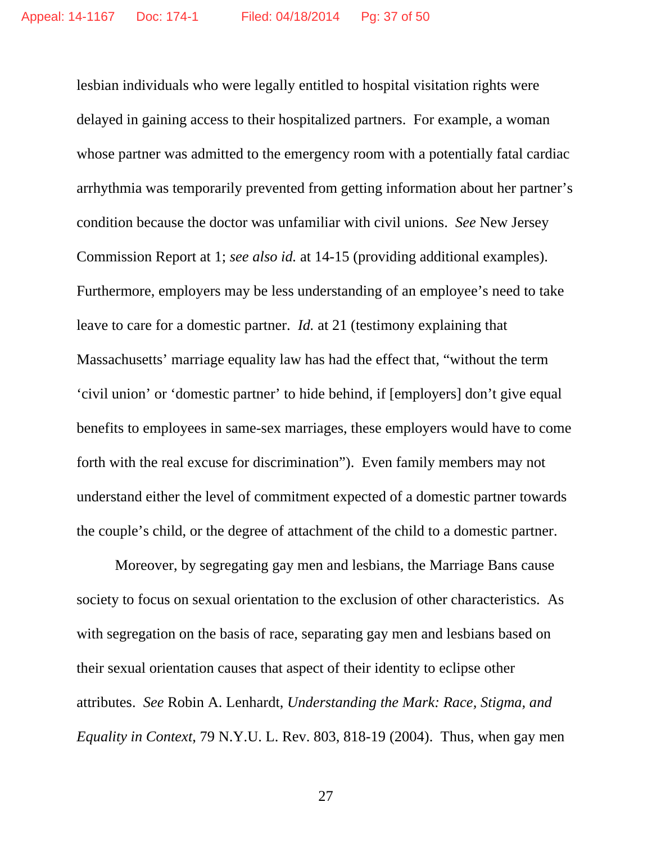lesbian individuals who were legally entitled to hospital visitation rights were delayed in gaining access to their hospitalized partners. For example, a woman whose partner was admitted to the emergency room with a potentially fatal cardiac arrhythmia was temporarily prevented from getting information about her partner's condition because the doctor was unfamiliar with civil unions. *See* New Jersey Commission Report at 1; *see also id.* at 14-15 (providing additional examples). Furthermore, employers may be less understanding of an employee's need to take leave to care for a domestic partner. *Id.* at 21 (testimony explaining that Massachusetts' marriage equality law has had the effect that, "without the term 'civil union' or 'domestic partner' to hide behind, if [employers] don't give equal benefits to employees in same-sex marriages, these employers would have to come forth with the real excuse for discrimination"). Even family members may not understand either the level of commitment expected of a domestic partner towards the couple's child, or the degree of attachment of the child to a domestic partner.

Moreover, by segregating gay men and lesbians, the Marriage Bans cause society to focus on sexual orientation to the exclusion of other characteristics. As with segregation on the basis of race, separating gay men and lesbians based on their sexual orientation causes that aspect of their identity to eclipse other attributes. *See* Robin A. Lenhardt, *Understanding the Mark: Race, Stigma, and Equality in Context*, 79 N.Y.U. L. Rev. 803, 818-19 (2004). Thus, when gay men

<u>27</u>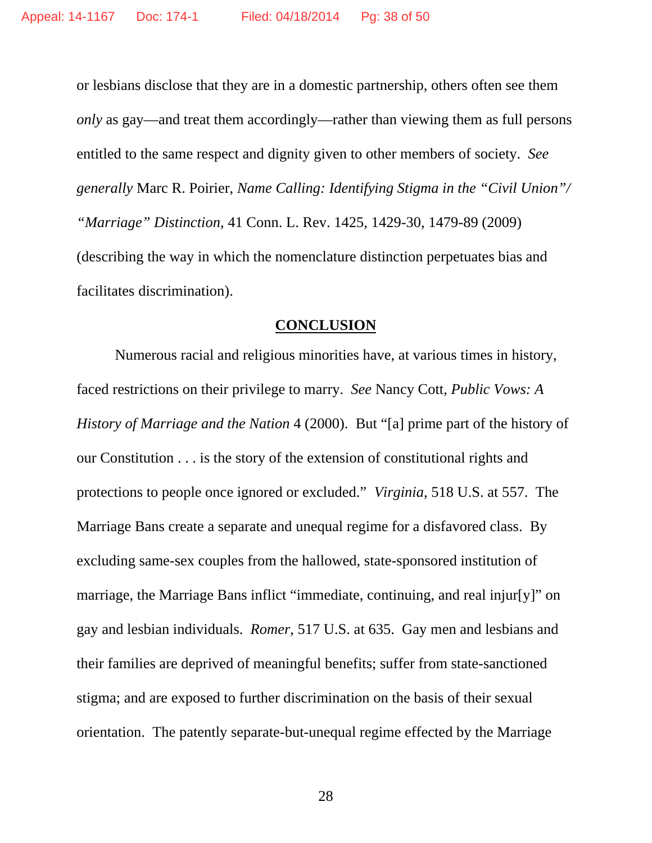or lesbians disclose that they are in a domestic partnership, others often see them *only* as gay—and treat them accordingly—rather than viewing them as full persons entitled to the same respect and dignity given to other members of society. *See generally* Marc R. Poirier, *Name Calling: Identifying Stigma in the "Civil Union"/ "Marriage" Distinction*, 41 Conn. L. Rev. 1425, 1429-30, 1479-89 (2009) (describing the way in which the nomenclature distinction perpetuates bias and facilitates discrimination).

### **CONCLUSION**

Numerous racial and religious minorities have, at various times in history, faced restrictions on their privilege to marry. *See* Nancy Cott, *Public Vows: A History of Marriage and the Nation* 4 (2000). But "[a] prime part of the history of our Constitution . . . is the story of the extension of constitutional rights and protections to people once ignored or excluded." *Virginia*, 518 U.S. at 557. The Marriage Bans create a separate and unequal regime for a disfavored class. By excluding same-sex couples from the hallowed, state-sponsored institution of marriage, the Marriage Bans inflict "immediate, continuing, and real injur[y]" on gay and lesbian individuals. *Romer*, 517 U.S. at 635. Gay men and lesbians and their families are deprived of meaningful benefits; suffer from state-sanctioned stigma; and are exposed to further discrimination on the basis of their sexual orientation. The patently separate-but-unequal regime effected by the Marriage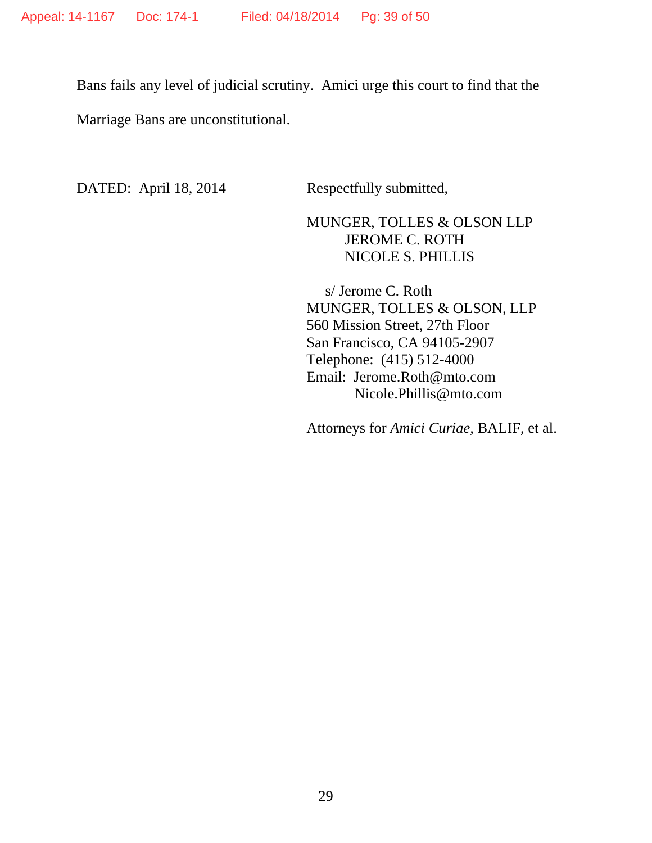Bans fails any level of judicial scrutiny. Amici urge this court to find that the Marriage Bans are unconstitutional.

DATED: April 18, 2014 Respectfully submitted,

# MUNGER, TOLLES & OLSON LLP JEROME C. ROTH NICOLE S. PHILLIS

 s/ Jerome C. Roth MUNGER, TOLLES & OLSON, LLP 560 Mission Street, 27th Floor San Francisco, CA 94105-2907 Telephone: (415) 512-4000 Email: Jerome.Roth@mto.com Nicole.Phillis@mto.com

Attorneys for *Amici Curiae,* BALIF, et al.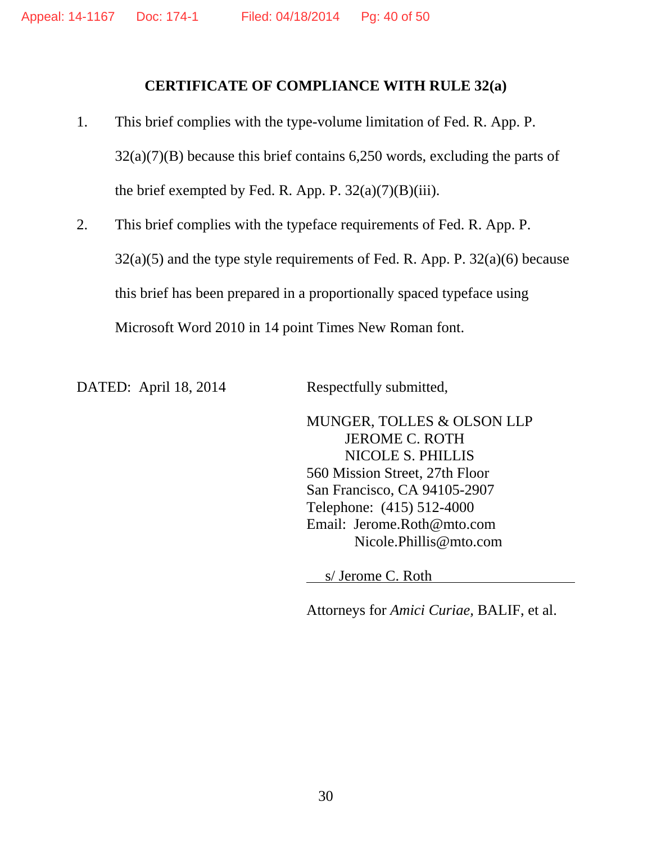### **CERTIFICATE OF COMPLIANCE WITH RULE 32(a)**

- 1. This brief complies with the type-volume limitation of Fed. R. App. P.  $32(a)(7)(B)$  because this brief contains 6,250 words, excluding the parts of the brief exempted by Fed. R. App. P.  $32(a)(7)(B)(iii)$ .
- 2. This brief complies with the typeface requirements of Fed. R. App. P.  $32(a)(5)$  and the type style requirements of Fed. R. App. P.  $32(a)(6)$  because this brief has been prepared in a proportionally spaced typeface using Microsoft Word 2010 in 14 point Times New Roman font.

DATED: April 18, 2014 Respectfully submitted,

MUNGER, TOLLES & OLSON LLP JEROME C. ROTH NICOLE S. PHILLIS 560 Mission Street, 27th Floor San Francisco, CA 94105-2907 Telephone: (415) 512-4000 Email: Jerome.Roth@mto.com Nicole.Phillis@mto.com

s/ Jerome C. Roth

Attorneys for *Amici Curiae,* BALIF, et al.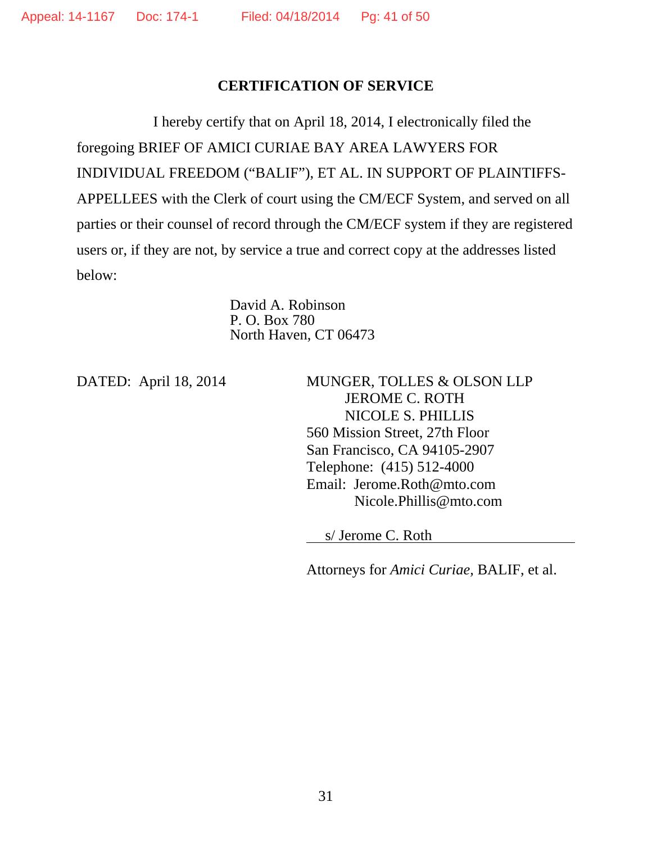### **CERTIFICATION OF SERVICE**

I hereby certify that on April 18, 2014, I electronically filed the foregoing BRIEF OF AMICI CURIAE BAY AREA LAWYERS FOR INDIVIDUAL FREEDOM ("BALIF"), ET AL. IN SUPPORT OF PLAINTIFFS-APPELLEES with the Clerk of court using the CM/ECF System, and served on all parties or their counsel of record through the CM/ECF system if they are registered users or, if they are not, by service a true and correct copy at the addresses listed below:

> David A. Robinson P. O. Box 780 North Haven, CT 06473

DATED: April 18, 2014 MUNGER, TOLLES & OLSON LLP JEROME C. ROTH NICOLE S. PHILLIS 560 Mission Street, 27th Floor San Francisco, CA 94105-2907 Telephone: (415) 512-4000 Email: Jerome.Roth@mto.com Nicole.Phillis@mto.com

s/ Jerome C. Roth

Attorneys for *Amici Curiae,* BALIF, et al.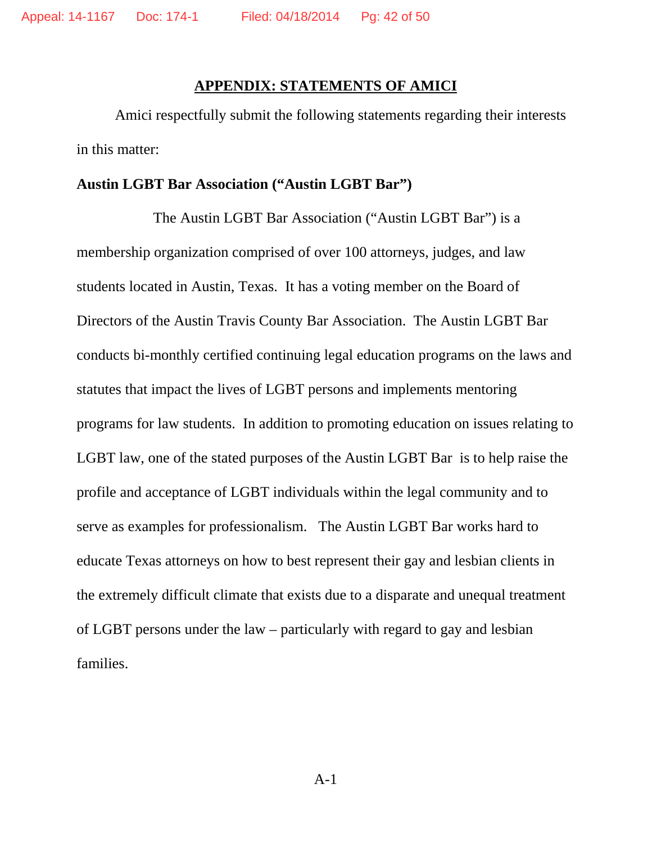#### **APPENDIX: STATEMENTS OF AMICI**

Amici respectfully submit the following statements regarding their interests in this matter:

#### **Austin LGBT Bar Association ("Austin LGBT Bar")**

The Austin LGBT Bar Association ("Austin LGBT Bar") is a membership organization comprised of over 100 attorneys, judges, and law students located in Austin, Texas. It has a voting member on the Board of Directors of the Austin Travis County Bar Association. The Austin LGBT Bar conducts bi-monthly certified continuing legal education programs on the laws and statutes that impact the lives of LGBT persons and implements mentoring programs for law students. In addition to promoting education on issues relating to LGBT law, one of the stated purposes of the Austin LGBT Bar is to help raise the profile and acceptance of LGBT individuals within the legal community and to serve as examples for professionalism. The Austin LGBT Bar works hard to educate Texas attorneys on how to best represent their gay and lesbian clients in the extremely difficult climate that exists due to a disparate and unequal treatment of LGBT persons under the law – particularly with regard to gay and lesbian families.

A-1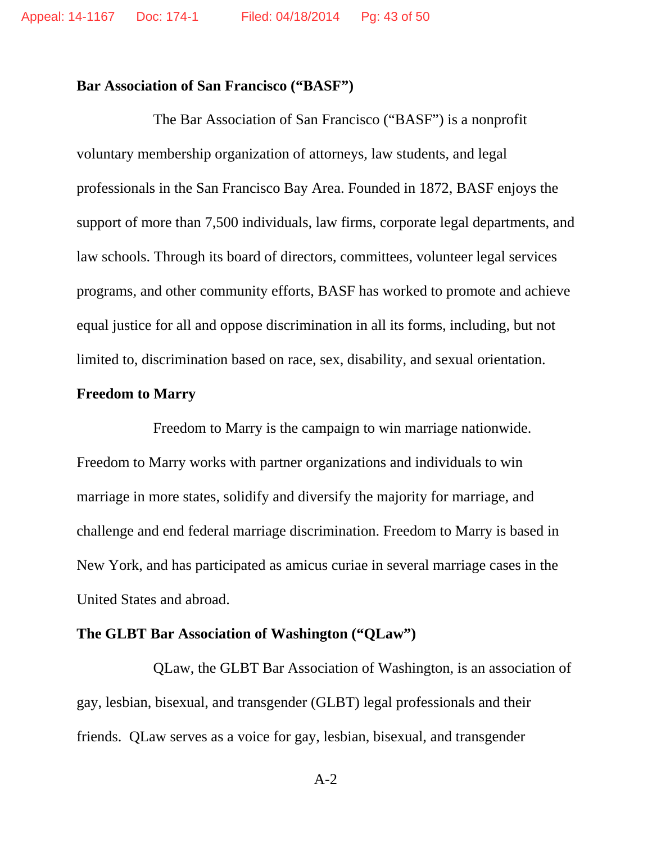### **Bar Association of San Francisco ("BASF")**

The Bar Association of San Francisco ("BASF") is a nonprofit voluntary membership organization of attorneys, law students, and legal professionals in the San Francisco Bay Area. Founded in 1872, BASF enjoys the support of more than 7,500 individuals, law firms, corporate legal departments, and law schools. Through its board of directors, committees, volunteer legal services programs, and other community efforts, BASF has worked to promote and achieve equal justice for all and oppose discrimination in all its forms, including, but not limited to, discrimination based on race, sex, disability, and sexual orientation.

### **Freedom to Marry**

Freedom to Marry is the campaign to win marriage nationwide. Freedom to Marry works with partner organizations and individuals to win marriage in more states, solidify and diversify the majority for marriage, and challenge and end federal marriage discrimination. Freedom to Marry is based in New York, and has participated as amicus curiae in several marriage cases in the United States and abroad.

### **The GLBT Bar Association of Washington ("QLaw")**

QLaw, the GLBT Bar Association of Washington, is an association of gay, lesbian, bisexual, and transgender (GLBT) legal professionals and their friends. QLaw serves as a voice for gay, lesbian, bisexual, and transgender

A-2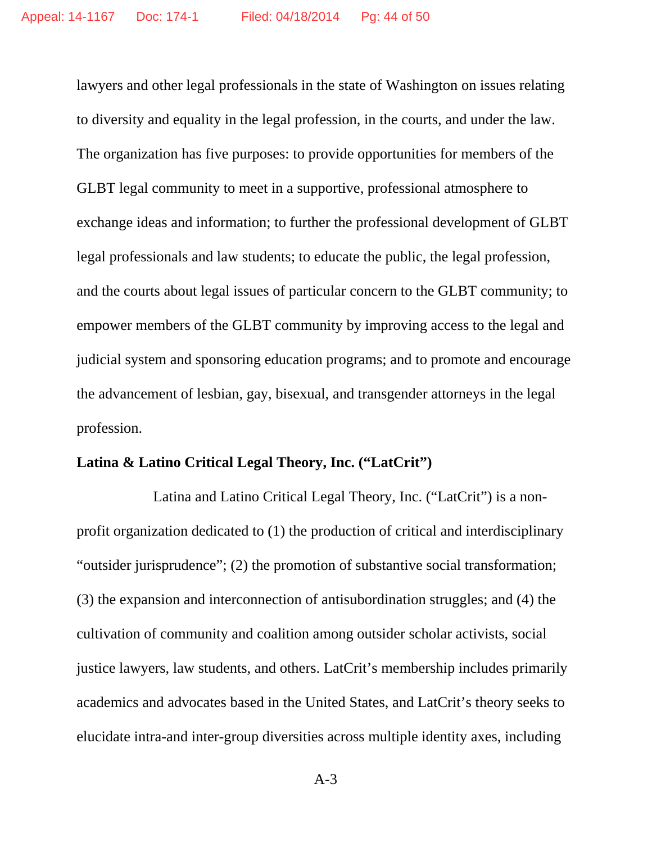lawyers and other legal professionals in the state of Washington on issues relating to diversity and equality in the legal profession, in the courts, and under the law. The organization has five purposes: to provide opportunities for members of the GLBT legal community to meet in a supportive, professional atmosphere to exchange ideas and information; to further the professional development of GLBT legal professionals and law students; to educate the public, the legal profession, and the courts about legal issues of particular concern to the GLBT community; to empower members of the GLBT community by improving access to the legal and judicial system and sponsoring education programs; and to promote and encourage the advancement of lesbian, gay, bisexual, and transgender attorneys in the legal profession.

### **Latina & Latino Critical Legal Theory, Inc. ("LatCrit")**

Latina and Latino Critical Legal Theory, Inc. ("LatCrit") is a nonprofit organization dedicated to (1) the production of critical and interdisciplinary "outsider jurisprudence"; (2) the promotion of substantive social transformation; (3) the expansion and interconnection of antisubordination struggles; and (4) the cultivation of community and coalition among outsider scholar activists, social justice lawyers, law students, and others. LatCrit's membership includes primarily academics and advocates based in the United States, and LatCrit's theory seeks to elucidate intra-and inter-group diversities across multiple identity axes, including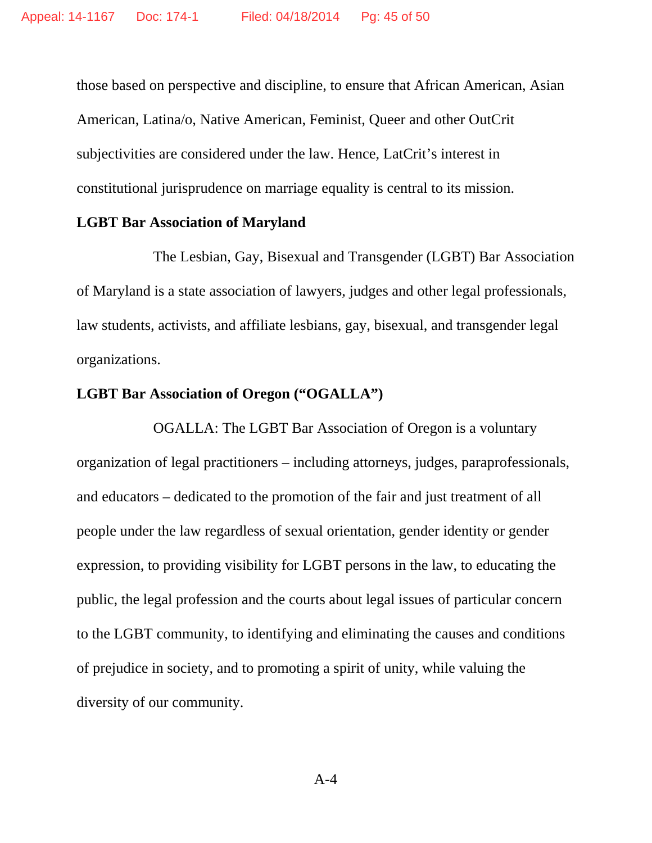those based on perspective and discipline, to ensure that African American, Asian American, Latina/o, Native American, Feminist, Queer and other OutCrit subjectivities are considered under the law. Hence, LatCrit's interest in constitutional jurisprudence on marriage equality is central to its mission.

#### **LGBT Bar Association of Maryland**

The Lesbian, Gay, Bisexual and Transgender (LGBT) Bar Association of Maryland is a state association of lawyers, judges and other legal professionals, law students, activists, and affiliate lesbians, gay, bisexual, and transgender legal organizations.

# **LGBT Bar Association of Oregon ("OGALLA")**

OGALLA: The LGBT Bar Association of Oregon is a voluntary organization of legal practitioners – including attorneys, judges, paraprofessionals, and educators – dedicated to the promotion of the fair and just treatment of all people under the law regardless of sexual orientation, gender identity or gender expression, to providing visibility for LGBT persons in the law, to educating the public, the legal profession and the courts about legal issues of particular concern to the LGBT community, to identifying and eliminating the causes and conditions of prejudice in society, and to promoting a spirit of unity, while valuing the diversity of our community.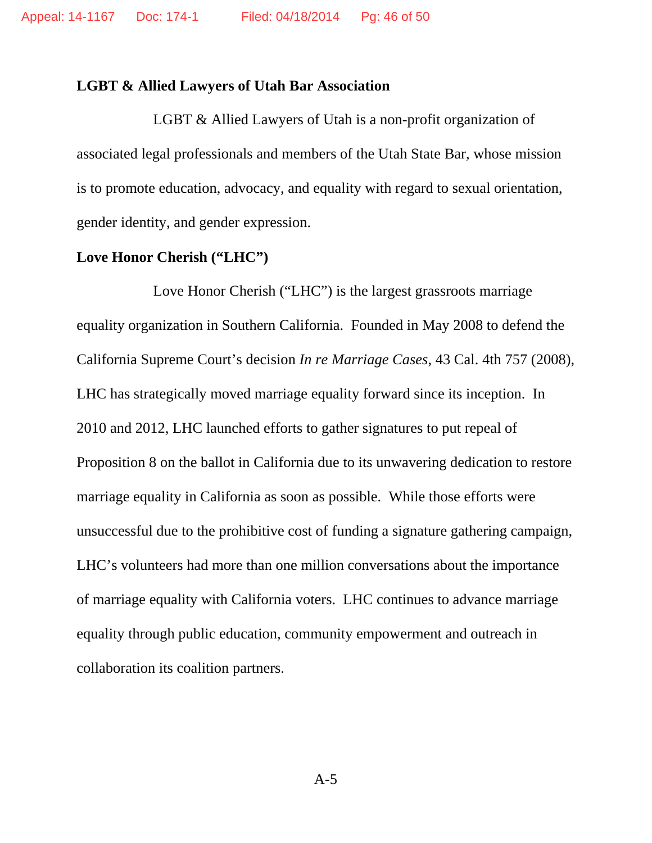### **LGBT & Allied Lawyers of Utah Bar Association**

LGBT & Allied Lawyers of Utah is a non-profit organization of associated legal professionals and members of the Utah State Bar, whose mission is to promote education, advocacy, and equality with regard to sexual orientation, gender identity, and gender expression.

# **Love Honor Cherish ("LHC")**

Love Honor Cherish ("LHC") is the largest grassroots marriage equality organization in Southern California. Founded in May 2008 to defend the California Supreme Court's decision *In re Marriage Cases*, 43 Cal. 4th 757 (2008), LHC has strategically moved marriage equality forward since its inception. In 2010 and 2012, LHC launched efforts to gather signatures to put repeal of Proposition 8 on the ballot in California due to its unwavering dedication to restore marriage equality in California as soon as possible. While those efforts were unsuccessful due to the prohibitive cost of funding a signature gathering campaign, LHC's volunteers had more than one million conversations about the importance of marriage equality with California voters. LHC continues to advance marriage equality through public education, community empowerment and outreach in collaboration its coalition partners.

A-5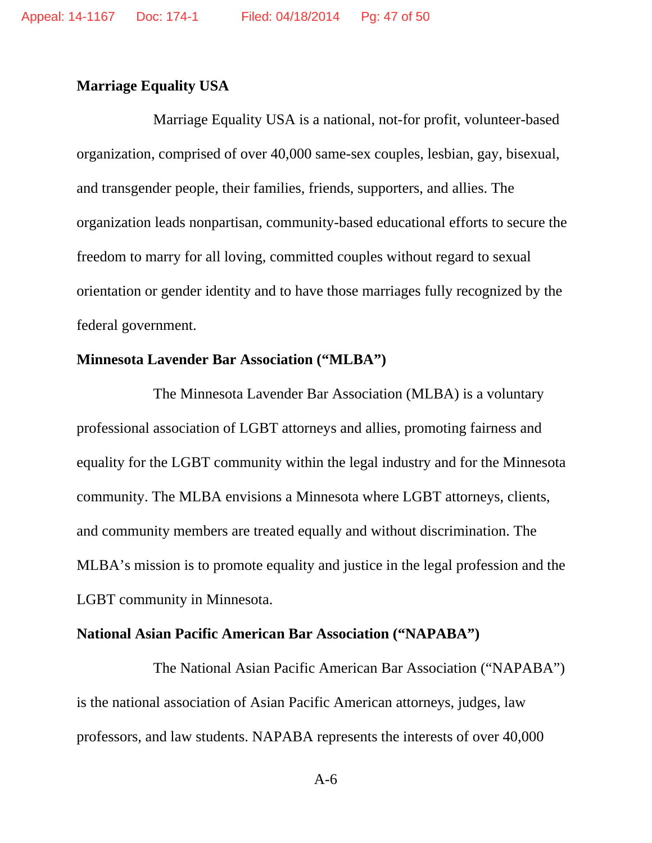### **Marriage Equality USA**

Marriage Equality USA is a national, not-for profit, volunteer-based organization, comprised of over 40,000 same-sex couples, lesbian, gay, bisexual, and transgender people, their families, friends, supporters, and allies. The organization leads nonpartisan, community-based educational efforts to secure the freedom to marry for all loving, committed couples without regard to sexual orientation or gender identity and to have those marriages fully recognized by the federal government.

# **Minnesota Lavender Bar Association ("MLBA")**

The Minnesota Lavender Bar Association (MLBA) is a voluntary professional association of LGBT attorneys and allies, promoting fairness and equality for the LGBT community within the legal industry and for the Minnesota community. The MLBA envisions a Minnesota where LGBT attorneys, clients, and community members are treated equally and without discrimination. The MLBA's mission is to promote equality and justice in the legal profession and the LGBT community in Minnesota.

#### **National Asian Pacific American Bar Association ("NAPABA")**

The National Asian Pacific American Bar Association ("NAPABA") is the national association of Asian Pacific American attorneys, judges, law professors, and law students. NAPABA represents the interests of over 40,000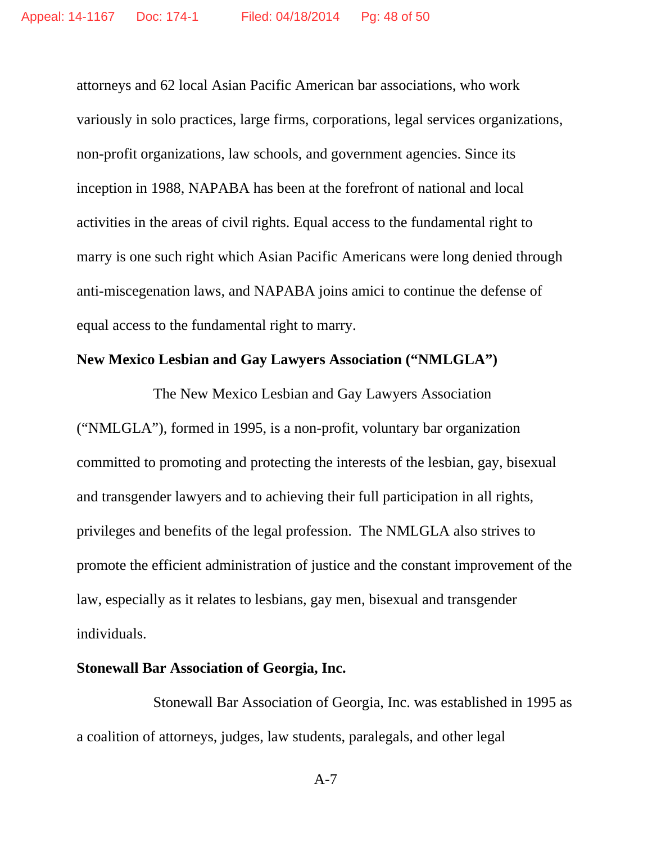attorneys and 62 local Asian Pacific American bar associations, who work variously in solo practices, large firms, corporations, legal services organizations, non-profit organizations, law schools, and government agencies. Since its inception in 1988, NAPABA has been at the forefront of national and local activities in the areas of civil rights. Equal access to the fundamental right to marry is one such right which Asian Pacific Americans were long denied through anti-miscegenation laws, and NAPABA joins amici to continue the defense of equal access to the fundamental right to marry.

### **New Mexico Lesbian and Gay Lawyers Association ("NMLGLA")**

The New Mexico Lesbian and Gay Lawyers Association ("NMLGLA"), formed in 1995, is a non-profit, voluntary bar organization committed to promoting and protecting the interests of the lesbian, gay, bisexual and transgender lawyers and to achieving their full participation in all rights, privileges and benefits of the legal profession. The NMLGLA also strives to promote the efficient administration of justice and the constant improvement of the law, especially as it relates to lesbians, gay men, bisexual and transgender individuals.

### **Stonewall Bar Association of Georgia, Inc.**

Stonewall Bar Association of Georgia, Inc. was established in 1995 as a coalition of attorneys, judges, law students, paralegals, and other legal

A-7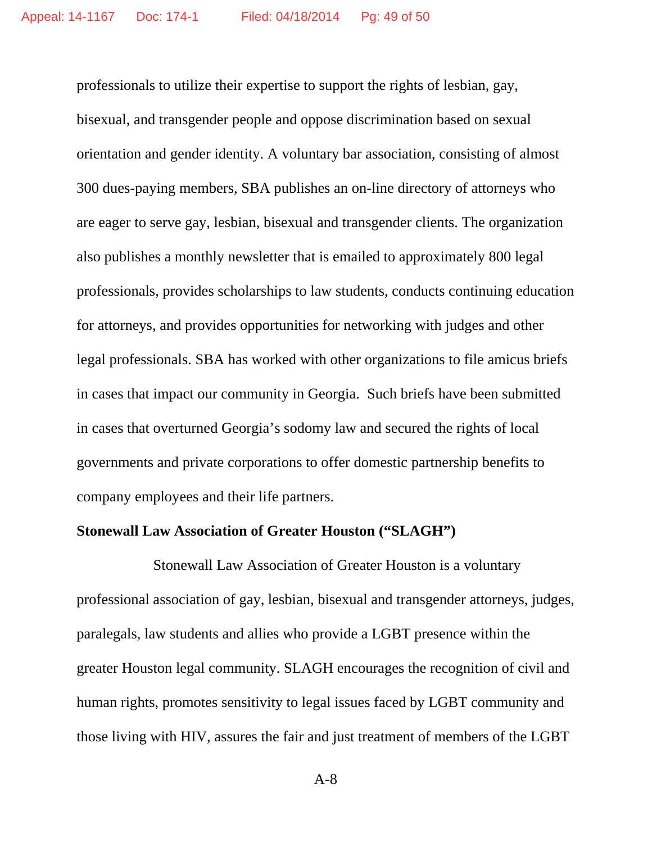professionals to utilize their expertise to support the rights of lesbian, gay, bisexual, and transgender people and oppose discrimination based on sexual orientation and gender identity. A voluntary bar association, consisting of almost 300 dues-paying members, SBA publishes an on-line directory of attorneys who are eager to serve gay, lesbian, bisexual and transgender clients. The organization also publishes a monthly newsletter that is emailed to approximately 800 legal professionals, provides scholarships to law students, conducts continuing education for attorneys, and provides opportunities for networking with judges and other legal professionals. SBA has worked with other organizations to file amicus briefs in cases that impact our community in Georgia. Such briefs have been submitted in cases that overturned Georgia's sodomy law and secured the rights of local governments and private corporations to offer domestic partnership benefits to company employees and their life partners.

### **Stonewall Law Association of Greater Houston ("SLAGH")**

Stonewall Law Association of Greater Houston is a voluntary professional association of gay, lesbian, bisexual and transgender attorneys, judges, paralegals, law students and allies who provide a LGBT presence within the greater Houston legal community. SLAGH encourages the recognition of civil and human rights, promotes sensitivity to legal issues faced by LGBT community and those living with HIV, assures the fair and just treatment of members of the LGBT

A-8